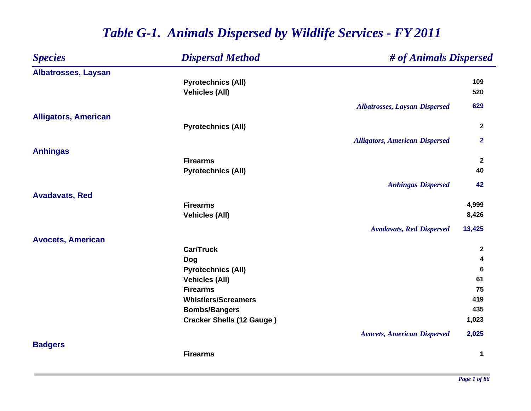### *Species Dispersal Method # of Animals Dispersed* **Albatrosses, Laysan Pyrotechnics (All) <sup>109</sup> Vehicles (All) 520** *Albatrosses, Laysan Dispersed* **629 Alligators, American Pyrotechnics (All) <sup>2</sup>** *Alligators, American Dispersed* **2 Anhingas Firearms 2 Pyrotechnics (All) <sup>40</sup>** *Anhingas Dispersed* **42 Avadavats, Red Firearms 4,999 Vehicles (All) 8,426** *Avadavats, Red Dispersed* **13,425 Avocets, American Car/Truck 2 Dog <sup>4</sup> Pyrotechnics (All) <sup>6</sup> Vehicles (All) 61 Firearms 75 Whistlers/Screamers 419 Bombs/Bangers <sup>435</sup> Cracker Shells (12 Gauge ) 1,023** *Avocets, American Dispersed* **2,025 Badgers Firearms1**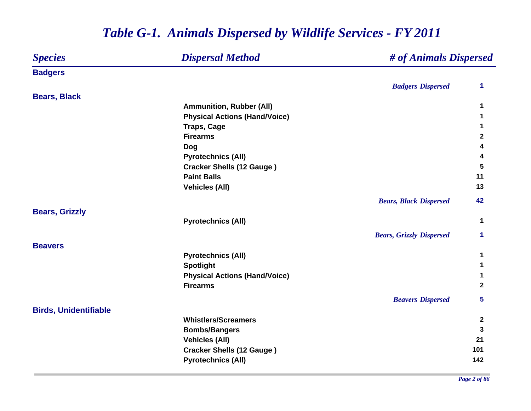### *Species Dispersal Method # of Animals Dispersed* **Badgers** *Badgers Dispersed* **1 Bears, Black Ammunition, Rubber (All) <sup>1</sup> Physical Actions (Hand/Voice) <sup>1</sup> Traps, Cage <sup>1</sup> Firearms 2 Dog <sup>4</sup> Pyrotechnics (All) <sup>4</sup> Cracker Shells (12 Gauge ) <sup>5</sup> Paint Balls 11 Vehicles (All) 13** *Bears, Black Dispersed* **42 Bears, Grizzly Pyrotechnics (All) <sup>1</sup>** *Bears, Grizzly Dispersed* **1 BeaversPyrotechnics (All) <sup>1</sup> Spotlight <sup>1</sup> Physical Actions (Hand/Voice) <sup>1</sup> Firearms 2** *Beavers Dispersed* **5 Birds, Unidentifiable Whistlers/Screamers 2 Bombs/Bangers <sup>3</sup> Vehicles (All) <sup>21</sup> Cracker Shells (12 Gauge ) <sup>101</sup> Pyrotechnics (All) <sup>142</sup>**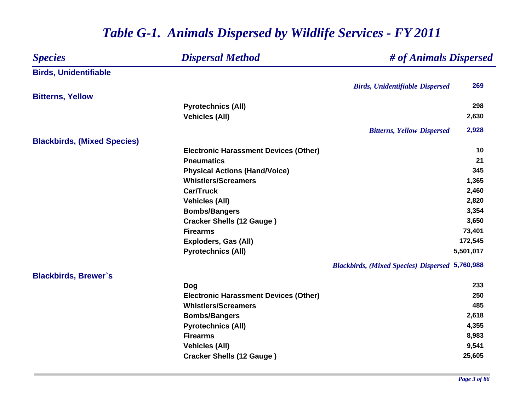### *Species Dispersal Method # of Animals Dispersed* **Birds, Unidentifiable** *Birds, Unidentifiable Dispersed* **269 Bitterns, Yellow Pyrotechnics (All) <sup>298</sup> Vehicles (All) 2,630** *Bitterns, Yellow Dispersed* **2,928 Blackbirds, (Mixed Species) Electronic Harassment Devices (Other) 10 Pneumatics21 21 Physical Actions (Hand/Voice) 345 Whistlers/Screamers 1,365 Car/Truck 2,460 Vehicles (All) 2,820 Bombs/Bangers 3,354 Cracker Shells (12 Gauge ) 3,650 Firearms 73,401 Exploders, Gas (All) 172,545 Pyrotechnics (All) 5,501,017** *Blackbirds, (Mixed Species) Dispersed* **5,760,988 Blackbirds, Brewer`s Dog <sup>233</sup> Electronic Harassment Devices (Other) 250 Whistlers/Screamers 485 Bombs/Bangers 2,618 Pyrotechnics (All) 4,355 Firearms 8,983 Vehicles (All) 9,541 Cracker Shells (12 Gauge ) 25,605**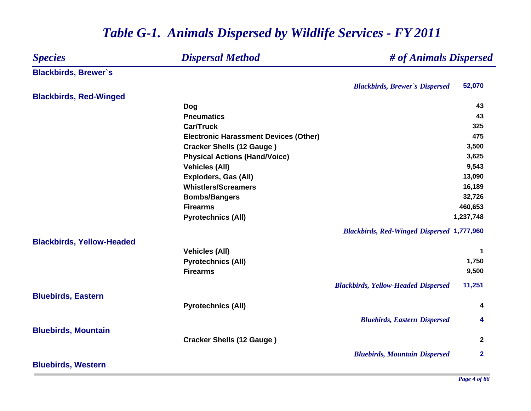### *Species Dispersal Method # of Animals Dispersed* **Blackbirds, Brewer`s** *Blackbirds, Brewer`s Dispersed* **52,070 Blackbirds, Red-Winged Dog <sup>43</sup> Pneumatics 43 Car/Truck 325 Electronic Harassment Devices (Other) 475 Cracker Shells (12 Gauge ) 3,500 Physical Actions (Hand/Voice) 3,625 Vehicles (All) 9,543 Exploders, Gas (All) 13,090 Whistlers/Screamers 16,189 Bombs/Bangers 32,726 Firearms 460,653 Pyrotechnics (All) 1,237,748** *Blackbirds, Red-Winged Dispersed* **1,777,960 Blackbirds, Yellow-Headed Vehicles (All) <sup>1</sup> Pyrotechnics (All) 1,750 Firearms 9,500** *Blackbirds, Yellow-Headed Dispersed* **11,251 Bluebirds, Eastern Pyrotechnics (All) <sup>4</sup>** *Bluebirds, Eastern Dispersed* **4 Bluebirds, Mountain Cracker Shells (12 Gauge ) <sup>2</sup>** *Bluebirds, Mountain Dispersed* **2 Bluebirds, Western**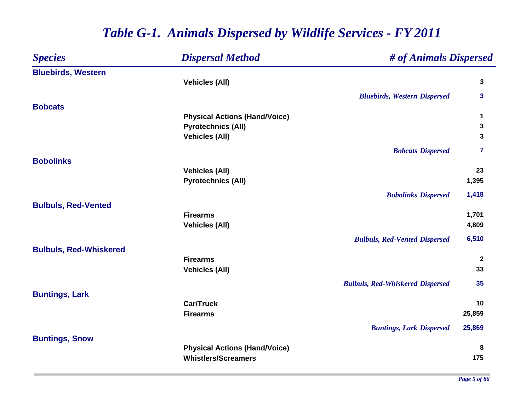| <b>Species</b>                | <b>Dispersal Method</b>              | # of Animals Dispersed                  |              |
|-------------------------------|--------------------------------------|-----------------------------------------|--------------|
| <b>Bluebirds, Western</b>     |                                      |                                         |              |
|                               | <b>Vehicles (All)</b>                |                                         | 3            |
|                               |                                      | <b>Bluebirds, Western Dispersed</b>     | 3            |
| <b>Bobcats</b>                |                                      |                                         |              |
|                               | <b>Physical Actions (Hand/Voice)</b> |                                         | 1            |
|                               | <b>Pyrotechnics (All)</b>            |                                         | 3            |
|                               | <b>Vehicles (All)</b>                |                                         | 3            |
|                               |                                      | <b>Bobcats Dispersed</b>                | 7            |
| <b>Bobolinks</b>              |                                      |                                         |              |
|                               | <b>Vehicles (All)</b>                |                                         | 23           |
|                               | <b>Pyrotechnics (All)</b>            |                                         | 1,395        |
|                               |                                      | <b>Bobolinks Dispersed</b>              | 1,418        |
| <b>Bulbuls, Red-Vented</b>    |                                      |                                         |              |
|                               | <b>Firearms</b>                      |                                         | 1,701        |
|                               | <b>Vehicles (All)</b>                |                                         | 4,809        |
|                               |                                      | <b>Bulbuls, Red-Vented Dispersed</b>    | 6,510        |
| <b>Bulbuls, Red-Whiskered</b> |                                      |                                         |              |
|                               | <b>Firearms</b>                      |                                         | $\mathbf{2}$ |
|                               | <b>Vehicles (All)</b>                |                                         | 33           |
|                               |                                      | <b>Bulbuls, Red-Whiskered Dispersed</b> | 35           |
| <b>Buntings, Lark</b>         |                                      |                                         |              |
|                               | <b>Car/Truck</b>                     |                                         | 10           |
|                               | <b>Firearms</b>                      |                                         | 25,859       |
|                               |                                      | <b>Buntings, Lark Dispersed</b>         | 25,869       |
| <b>Buntings, Snow</b>         |                                      |                                         |              |
|                               | <b>Physical Actions (Hand/Voice)</b> |                                         | 8            |
|                               | <b>Whistlers/Screamers</b>           |                                         | 175          |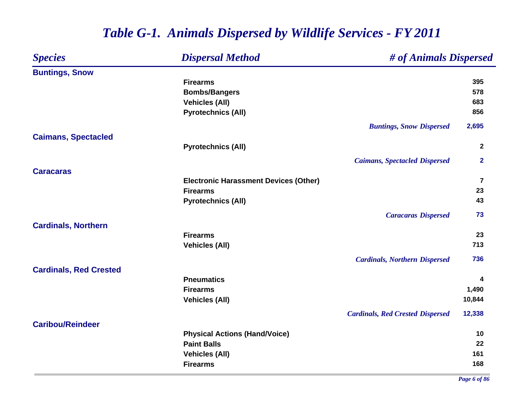### *Species Dispersal Method # of Animals Dispersed* **Buntings, Snow Firearms 395 Bombs/Bangers <sup>578</sup> Vehicles (All) 683 Pyrotechnics (All) 856** *Buntings, Snow Dispersed* **2,695 Caimans, Spectacled Pyrotechnics (All) <sup>2</sup>** *Caimans, Spectacled Dispersed* **2 CaracarasElectronic Harassment Devices (Other) <sup>7</sup> Firearms 23 Pyrotechnics (All) <sup>43</sup>** *Caracaras Dispersed* **73 Cardinals, Northern Firearms 23 Vehicles (All) 713** *Cardinals, Northern Dispersed* **736 Cardinals, Red Crested Pneumatics 4 Firearms 1,490 Vehicles (All) 10,844** *Cardinals, Red Crested Dispersed* **12,338 Caribou/ReindeerPhysical Actions (Hand/Voice) <sup>10</sup> Paint Balls 22 Vehicles (All) 161 Firearms168**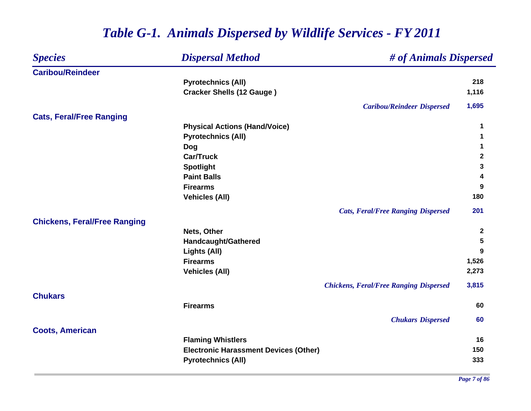| <b>Species</b>                      | <b>Dispersal Method</b>                      | # of Animals Dispersed                        |                  |
|-------------------------------------|----------------------------------------------|-----------------------------------------------|------------------|
| <b>Caribou/Reindeer</b>             |                                              |                                               |                  |
|                                     | <b>Pyrotechnics (All)</b>                    |                                               | 218              |
|                                     | <b>Cracker Shells (12 Gauge)</b>             |                                               | 1,116            |
|                                     |                                              | <b>Caribou/Reindeer Dispersed</b>             | 1,695            |
| <b>Cats, Feral/Free Ranging</b>     |                                              |                                               |                  |
|                                     | <b>Physical Actions (Hand/Voice)</b>         |                                               | 1                |
|                                     | <b>Pyrotechnics (All)</b>                    |                                               | 1                |
|                                     | Dog                                          |                                               | 1                |
|                                     | <b>Car/Truck</b>                             |                                               | $\mathbf{2}$     |
|                                     | <b>Spotlight</b>                             |                                               | 3                |
|                                     | <b>Paint Balls</b>                           |                                               | 4                |
|                                     | <b>Firearms</b>                              |                                               | 9                |
|                                     | <b>Vehicles (All)</b>                        |                                               | 180              |
|                                     |                                              | <b>Cats, Feral/Free Ranging Dispersed</b>     | 201              |
| <b>Chickens, Feral/Free Ranging</b> |                                              |                                               |                  |
|                                     | Nets, Other                                  |                                               | $\boldsymbol{2}$ |
|                                     | Handcaught/Gathered                          |                                               | 5                |
|                                     | Lights (All)                                 |                                               | 9                |
|                                     | <b>Firearms</b>                              |                                               | 1,526            |
|                                     | <b>Vehicles (All)</b>                        |                                               | 2,273            |
|                                     |                                              | <b>Chickens, Feral/Free Ranging Dispersed</b> | 3,815            |
| <b>Chukars</b>                      |                                              |                                               |                  |
|                                     | <b>Firearms</b>                              |                                               | 60               |
|                                     |                                              | <b>Chukars Dispersed</b>                      | 60               |
| <b>Coots, American</b>              |                                              |                                               | 16               |
|                                     | <b>Flaming Whistlers</b>                     |                                               |                  |
|                                     | <b>Electronic Harassment Devices (Other)</b> |                                               | 150              |
|                                     | <b>Pyrotechnics (All)</b>                    |                                               | 333              |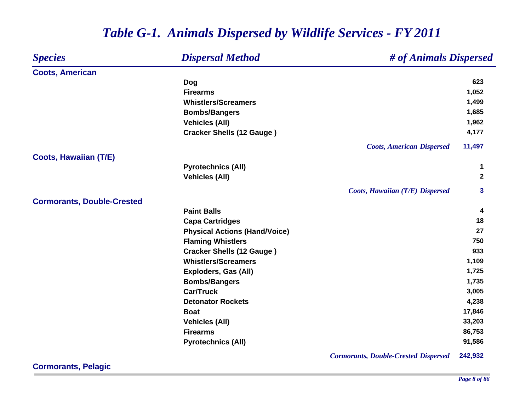| <b>Species</b>                    | <b>Dispersal Method</b>              | # of Animals Dispersed                      |             |
|-----------------------------------|--------------------------------------|---------------------------------------------|-------------|
| <b>Coots, American</b>            |                                      |                                             |             |
|                                   | Dog                                  |                                             | 623         |
|                                   | <b>Firearms</b>                      |                                             | 1,052       |
|                                   | <b>Whistlers/Screamers</b>           |                                             | 1,499       |
|                                   | <b>Bombs/Bangers</b>                 |                                             | 1,685       |
|                                   | <b>Vehicles (All)</b>                |                                             | 1,962       |
|                                   | <b>Cracker Shells (12 Gauge)</b>     |                                             | 4,177       |
|                                   |                                      | <b>Coots, American Dispersed</b>            | 11,497      |
| <b>Coots, Hawaiian (T/E)</b>      |                                      |                                             |             |
|                                   | <b>Pyrotechnics (All)</b>            |                                             | 1           |
|                                   | <b>Vehicles (All)</b>                |                                             | $\mathbf 2$ |
|                                   |                                      | Coots, Hawaiian (T/E) Dispersed             | 3           |
| <b>Cormorants, Double-Crested</b> |                                      |                                             |             |
|                                   | <b>Paint Balls</b>                   |                                             | 4           |
|                                   | <b>Capa Cartridges</b>               |                                             | 18          |
|                                   | <b>Physical Actions (Hand/Voice)</b> |                                             | 27          |
|                                   | <b>Flaming Whistlers</b>             |                                             | 750         |
|                                   | <b>Cracker Shells (12 Gauge)</b>     |                                             | 933         |
|                                   | <b>Whistlers/Screamers</b>           |                                             | 1,109       |
|                                   | <b>Exploders, Gas (All)</b>          |                                             | 1,725       |
|                                   | <b>Bombs/Bangers</b>                 |                                             | 1,735       |
|                                   | <b>Car/Truck</b>                     |                                             | 3,005       |
|                                   | <b>Detonator Rockets</b>             |                                             | 4,238       |
|                                   | <b>Boat</b>                          |                                             | 17,846      |
|                                   | <b>Vehicles (All)</b>                |                                             | 33,203      |
|                                   | <b>Firearms</b>                      |                                             | 86,753      |
|                                   | <b>Pyrotechnics (All)</b>            |                                             | 91,586      |
|                                   |                                      | <b>Cormorants, Double-Crested Dispersed</b> | 242,932     |

**Cormorants, Pelagic**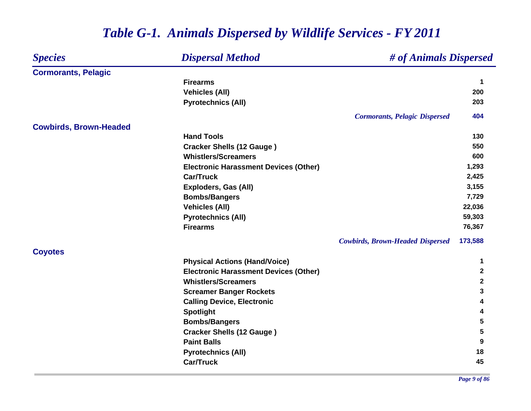#### *Species Dispersal Method # of Animals Dispersed* **Cormorants, Pelagic Firearms 1 Vehicles (All) 200 Pyrotechnics (All) <sup>203</sup>** *Cormorants, Pelagic Dispersed* **404 Cowbirds, Brown-Headed Hand Tools130 Cracker Shells (12 Gauge ) <sup>550</sup> Whistlers/Screamers 600 Electronic Harassment Devices (Other) 1,293 Car/Truck 2,425 Exploders, Gas (All) 3,155 Bombs/Bangers 7,729 Vehicles (All) 22,036 Pyrotechnics (All) 59,303 Firearms 76,367** *Cowbirds, Brown-Headed Dispersed* **173,588 Coyotes Physical Actions (Hand/Voice) <sup>1</sup> Electronic Harassment Devices (Other) <sup>2</sup> Whistlers/Screamers 2 Screamer Banger Rockets <sup>3</sup> Calling Device, Electronic <sup>4</sup> Spotlight <sup>4</sup> Bombs/Bangers <sup>5</sup> Cracker Shells (12 Gauge ) <sup>5</sup> Paint Balls 9 Pyrotechnics (All) <sup>18</sup> Car/Truck45**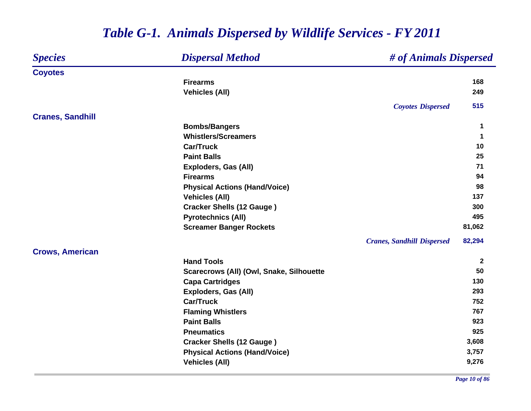#### *Species Dispersal Method # of Animals Dispersed* **Coyotes Firearms 168 Vehicles (All) 249** *Coyotes Dispersed* **515 Cranes, Sandhill Bombs/Bangers <sup>1</sup> Whistlers/Screamers 1 Car/Truck10 Paint Balls25 25 26 2020 2020 2020 2020 2020 2020 2020 2020 2020 2020 Exploders, Gas (All) <sup>71</sup> Firearms 94 Physical Actions (Hand/Voice) <sup>98</sup> Vehicles (All) 137 Cracker Shells (12 Gauge ) <sup>300</sup> Pyrotechnics (All) 495 Screamer Banger Rockets 81,062** *Cranes, Sandhill Dispersed* **82,294 Crows, American Hand Tools 2 Scarecrows (All) (Owl, Snake, Silhouette 50 Capa Cartridges <sup>130</sup> Exploders, Gas (All) 293 Car/Truck 752 Flaming Whistlers <sup>767</sup> Paint Balls 923 Pneumatics 925 Cracker Shells (12 Gauge ) 3,608 Physical Actions (Hand/Voice) 3,757 Vehicles (All) 9,276**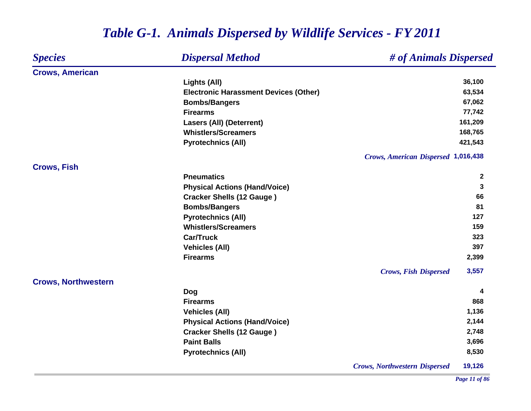| <b>Species</b>             | <b>Dispersal Method</b>                      | # of Animals Dispersed                     |              |
|----------------------------|----------------------------------------------|--------------------------------------------|--------------|
| <b>Crows, American</b>     |                                              |                                            |              |
|                            | Lights (All)                                 |                                            | 36,100       |
|                            | <b>Electronic Harassment Devices (Other)</b> |                                            | 63,534       |
|                            | <b>Bombs/Bangers</b>                         |                                            | 67,062       |
|                            | <b>Firearms</b>                              |                                            | 77,742       |
|                            | <b>Lasers (All) (Deterrent)</b>              |                                            | 161,209      |
|                            | <b>Whistlers/Screamers</b>                   |                                            | 168,765      |
|                            | <b>Pyrotechnics (All)</b>                    |                                            | 421,543      |
|                            |                                              | <b>Crows, American Dispersed 1,016,438</b> |              |
| <b>Crows, Fish</b>         |                                              |                                            |              |
|                            | <b>Pneumatics</b>                            |                                            | $\mathbf{2}$ |
|                            | <b>Physical Actions (Hand/Voice)</b>         |                                            | 3            |
|                            | <b>Cracker Shells (12 Gauge)</b>             |                                            | 66           |
|                            | <b>Bombs/Bangers</b>                         |                                            | 81           |
|                            | <b>Pyrotechnics (All)</b>                    |                                            | 127          |
|                            | <b>Whistlers/Screamers</b>                   |                                            | 159          |
|                            | <b>Car/Truck</b>                             |                                            | 323          |
|                            | <b>Vehicles (All)</b>                        |                                            | 397          |
|                            | <b>Firearms</b>                              |                                            | 2,399        |
|                            |                                              | <b>Crows, Fish Dispersed</b>               | 3,557        |
| <b>Crows, Northwestern</b> |                                              |                                            |              |
|                            | <b>Dog</b>                                   |                                            | 4            |
|                            | <b>Firearms</b>                              |                                            | 868          |
|                            | <b>Vehicles (All)</b>                        |                                            | 1,136        |
|                            | <b>Physical Actions (Hand/Voice)</b>         |                                            | 2,144        |
|                            | <b>Cracker Shells (12 Gauge)</b>             |                                            | 2,748        |
|                            | <b>Paint Balls</b>                           |                                            | 3,696        |
|                            | <b>Pyrotechnics (All)</b>                    |                                            | 8,530        |
|                            |                                              | <b>Crows, Northwestern Dispersed</b>       | 19,126       |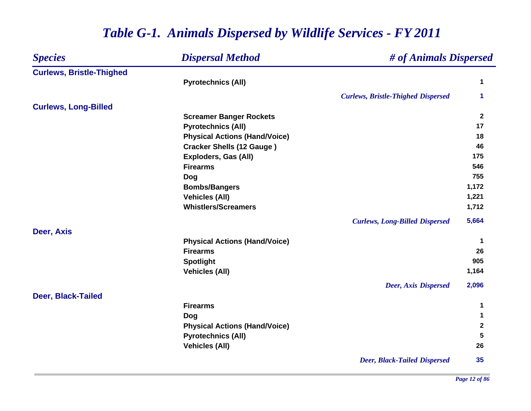### *Species Dispersal Method # of Animals Dispersed* **Curlews, Bristle-Thighed Pyrotechnics (All) <sup>1</sup>** *Curlews, Bristle-Thighed Dispersed* **1 Curlews, Long-Billed Screamer Banger Rockets <sup>2</sup> Pyrotechnics (All) <sup>17</sup> Physical Actions (Hand/Voice) <sup>18</sup> Cracker Shells (12 Gauge ) <sup>46</sup> Exploders, Gas (All) 175 Firearms 546 Dog <sup>755</sup> Bombs/Bangers 1,172 Vehicles (All) 1,221 Whistlers/Screamers 1,712** *Curlews, Long-Billed Dispersed* **5,664 Deer, Axis Physical Actions (Hand/Voice) <sup>1</sup> Firearms26 2011 - 2021 - 2022 2022 2022 2023 2024 2024 2024 2024 2024 2024 2024 2024 2024 2024 2024 2024 2024 2024 2024 2024 2024 2024 2024 2024 2024 2024 2024 2024 2024 Spotlight <sup>905</sup> Vehicles (All) 1,164** *Deer, Axis Dispersed* **2,096 Deer, Black-Tailed Firearms 1 Dog <sup>1</sup> Physical Actions (Hand/Voice) <sup>2</sup> Pyrotechnics (All) 5 Vehicles (All) 26** *Deer, Black-Tailed Dispersed* **35**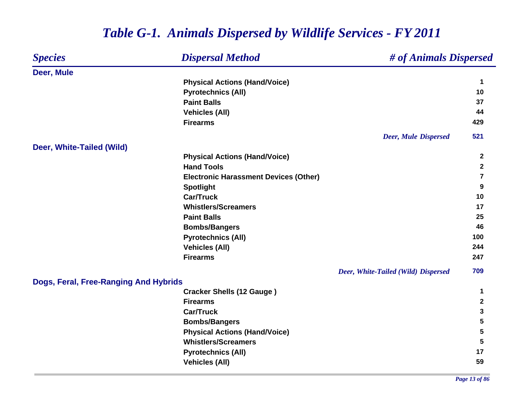#### *Species Dispersal Method # of Animals Dispersed* **Deer, Mule Physical Actions (Hand/Voice) <sup>1</sup> Pyrotechnics (All) <sup>10</sup> Paint Balls5 37 Vehicles (All) <sup>44</sup> Firearms 429** *Deer, Mule Dispersed* **521 Deer, White-Tailed (Wild) Physical Actions (Hand/Voice) <sup>2</sup> Hand Tools 2 Electronic Harassment Devices (Other) <sup>7</sup> Spotlight <sup>9</sup> Car/Truck10 Whistlers/Screamers 17 Paint Balls25 25 26 2020 2020 2020 2020 2020 2020 2020 2020 2020 2020 Bombs/Bangers <sup>46</sup> Pyrotechnics (All) <sup>100</sup> Vehicles (All) <sup>244</sup> Firearms 247** *Deer, White-Tailed (Wild) Dispersed* **709 Dogs, Feral, Free-Ranging And Hybrids Cracker Shells (12 Gauge ) <sup>1</sup> Firearms 2 Car/Truck 3 Bombs/Bangers <sup>5</sup> Physical Actions (Hand/Voice) 5 Whistlers/Screamers 5 Pyrotechnics (All) <sup>17</sup> Vehicles (All) 59**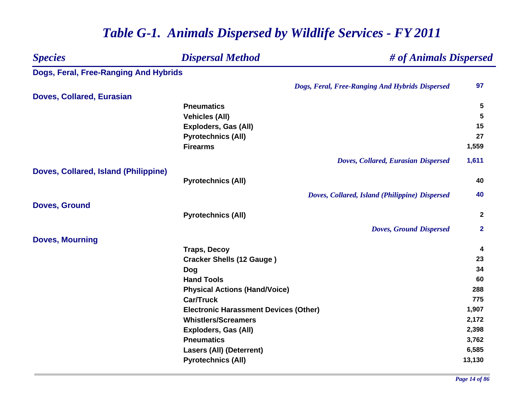### *Species Dispersal Method # of Animals Dispersed* **Dogs, Feral, Free-Ranging And Hybrids** *Dogs, Feral, Free-Ranging And Hybrids Dispersed* **97 Doves, Collared, Eurasian Pneumatics 5 Vehicles (All) 5 Exploders, Gas (All) 15 Pyrotechnics (All) <sup>27</sup> Firearms 1,559** *Doves, Collared, Eurasian Dispersed* **1,611 Doves, Collared, Island (Philippine) Pyrotechnics (All) <sup>40</sup>** *Doves, Collared, Island (Philippine) Dispersed* **40 Doves, Ground Pyrotechnics (All) <sup>2</sup>** *Doves, Ground Dispersed* **2 Doves, Mourning Traps, Decoy <sup>4</sup> Cracker Shells (12 Gauge ) <sup>23</sup> Dog <sup>34</sup> Hand Tools 60 Physical Actions (Hand/Voice) <sup>288</sup> Car/Truck 775 Electronic Harassment Devices (Other) 1,907 Whistlers/Screamers 2,172 Exploders, Gas (All) 2,398 Pneumatics 3,762 Lasers (All) (Deterrent) 6,585 Pyrotechnics (All) 13,130**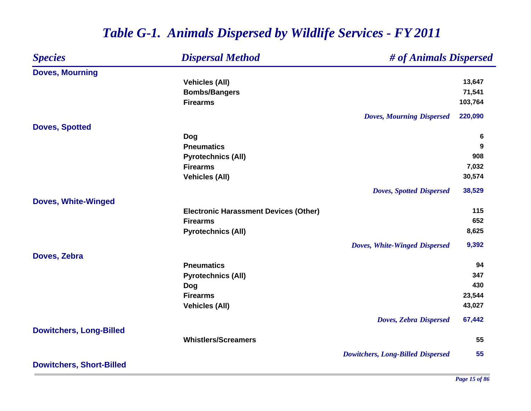| <b>Species</b>                  | <b>Dispersal Method</b>                      | # of Animals Dispersed                   |         |
|---------------------------------|----------------------------------------------|------------------------------------------|---------|
| <b>Doves, Mourning</b>          |                                              |                                          |         |
|                                 | <b>Vehicles (All)</b>                        |                                          | 13,647  |
|                                 | <b>Bombs/Bangers</b>                         |                                          | 71,541  |
|                                 | <b>Firearms</b>                              |                                          | 103,764 |
|                                 |                                              | <b>Doves, Mourning Dispersed</b>         | 220,090 |
| <b>Doves, Spotted</b>           |                                              |                                          |         |
|                                 | <b>Dog</b>                                   |                                          | 6       |
|                                 | <b>Pneumatics</b>                            |                                          | 9       |
|                                 | <b>Pyrotechnics (All)</b>                    |                                          | 908     |
|                                 | <b>Firearms</b>                              |                                          | 7,032   |
|                                 | <b>Vehicles (All)</b>                        |                                          | 30,574  |
|                                 |                                              | <b>Doves, Spotted Dispersed</b>          | 38,529  |
| <b>Doves, White-Winged</b>      |                                              |                                          |         |
|                                 | <b>Electronic Harassment Devices (Other)</b> |                                          | 115     |
|                                 | <b>Firearms</b>                              |                                          | 652     |
|                                 | <b>Pyrotechnics (All)</b>                    |                                          | 8,625   |
|                                 |                                              | Doves, White-Winged Dispersed            | 9,392   |
| Doves, Zebra                    |                                              |                                          |         |
|                                 | <b>Pneumatics</b>                            |                                          | 94      |
|                                 | <b>Pyrotechnics (All)</b>                    |                                          | 347     |
|                                 | Dog                                          |                                          | 430     |
|                                 | <b>Firearms</b>                              |                                          | 23,544  |
|                                 | <b>Vehicles (All)</b>                        |                                          | 43,027  |
|                                 |                                              | <b>Doves, Zebra Dispersed</b>            | 67,442  |
| <b>Dowitchers, Long-Billed</b>  |                                              |                                          |         |
|                                 | <b>Whistlers/Screamers</b>                   |                                          | 55      |
|                                 |                                              | <b>Dowitchers, Long-Billed Dispersed</b> | 55      |
| <b>Dowitchers, Short-Billed</b> |                                              |                                          |         |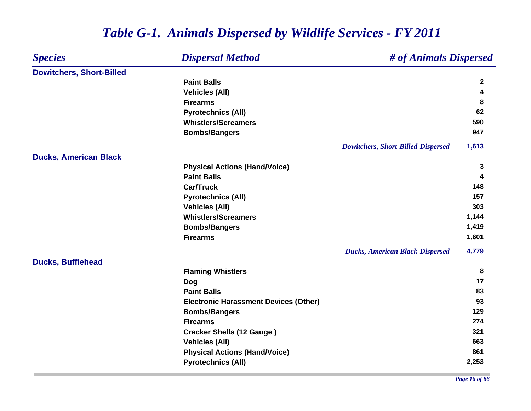| <b>Species</b>                  | <b>Dispersal Method</b>                      | # of Animals Dispersed                    |              |
|---------------------------------|----------------------------------------------|-------------------------------------------|--------------|
| <b>Dowitchers, Short-Billed</b> |                                              |                                           |              |
|                                 | <b>Paint Balls</b>                           |                                           | $\mathbf{2}$ |
|                                 | <b>Vehicles (All)</b>                        |                                           | 4            |
|                                 | <b>Firearms</b>                              |                                           | 8            |
|                                 | <b>Pyrotechnics (All)</b>                    |                                           | 62           |
|                                 | <b>Whistlers/Screamers</b>                   |                                           | 590          |
|                                 | <b>Bombs/Bangers</b>                         |                                           | 947          |
|                                 |                                              | <b>Dowitchers, Short-Billed Dispersed</b> | 1,613        |
| <b>Ducks, American Black</b>    |                                              |                                           |              |
|                                 | <b>Physical Actions (Hand/Voice)</b>         |                                           | 3            |
|                                 | <b>Paint Balls</b>                           |                                           | 4            |
|                                 | <b>Car/Truck</b>                             |                                           | 148          |
|                                 | <b>Pyrotechnics (All)</b>                    |                                           | 157          |
|                                 | <b>Vehicles (All)</b>                        |                                           | 303          |
|                                 | <b>Whistlers/Screamers</b>                   |                                           | 1,144        |
|                                 | <b>Bombs/Bangers</b>                         |                                           | 1,419        |
|                                 | <b>Firearms</b>                              |                                           | 1,601        |
|                                 |                                              | <b>Ducks, American Black Dispersed</b>    | 4,779        |
| <b>Ducks, Bufflehead</b>        |                                              |                                           |              |
|                                 | <b>Flaming Whistlers</b>                     |                                           | 8            |
|                                 | <b>Dog</b>                                   |                                           | 17           |
|                                 | <b>Paint Balls</b>                           |                                           | 83           |
|                                 | <b>Electronic Harassment Devices (Other)</b> |                                           | 93           |
|                                 | <b>Bombs/Bangers</b>                         |                                           | 129          |
|                                 | <b>Firearms</b>                              |                                           | 274          |
|                                 | <b>Cracker Shells (12 Gauge)</b>             |                                           | 321          |
|                                 | <b>Vehicles (All)</b>                        |                                           | 663          |
|                                 | <b>Physical Actions (Hand/Voice)</b>         |                                           | 861          |
|                                 | <b>Pyrotechnics (All)</b>                    |                                           | 2,253        |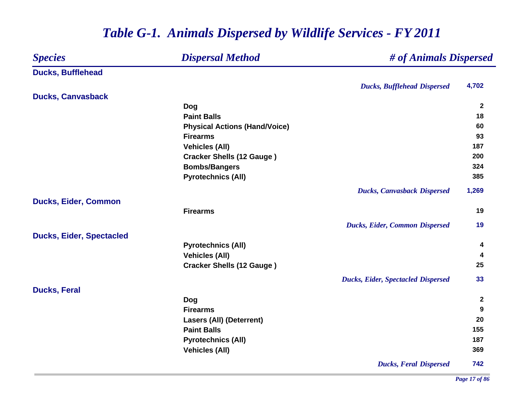### *Species Dispersal Method # of Animals Dispersed* **Ducks, Bufflehead** *Ducks, Bufflehead Dispersed* **4,702 Ducks, Canvasback Dog <sup>2</sup> Paint Balls 18 Physical Actions (Hand/Voice) <sup>60</sup> Firearms 93 Vehicles (All) 187 Cracker Shells (12 Gauge ) <sup>200</sup> Bombs/Bangers <sup>324</sup> Pyrotechnics (All) 385** *Ducks, Canvasback Dispersed* **1,269 Ducks, Eider, Common Firearms19** *Ducks, Eider, Common Dispersed* **19 Ducks, Eider, Spectacled Pyrotechnics (All) <sup>4</sup> Vehicles (All) <sup>4</sup> Cracker Shells (12 Gauge ) <sup>25</sup>** *Ducks, Eider, Spectacled Dispersed* **33 Ducks, Feral Dog <sup>2</sup> Firearms 9 Lasers (All) (Deterrent) 20 Paint Balls 155 Pyrotechnics (All) <sup>187</sup> Vehicles (All) 369** *Ducks, Feral Dispersed* **742**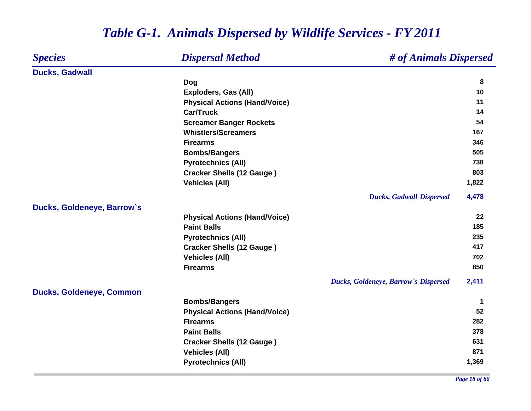#### *Species Dispersal Method # of Animals Dispersed* **Ducks, Gadwall Dog <sup>8</sup> Exploders, Gas (All) 10 Physical Actions (Hand/Voice) <sup>11</sup> Car/Truck 14 Screamer Banger Rockets <sup>54</sup> Whistlers/Screamers167 167 167 167 167 167 167 167 167 Firearms 346 Bombs/Bangers <sup>505</sup> Pyrotechnics (All) <sup>738</sup> Cracker Shells (12 Gauge ) <sup>803</sup> Vehicles (All) 1,822** *Ducks, Gadwall Dispersed* **4,478 Ducks, Goldeneye, Barrow`s Physical Actions (Hand/Voice) <sup>22</sup> Paint Balls 185 Pyrotechnics (All) 235 Cracker Shells (12 Gauge ) <sup>417</sup> Vehicles (All) 702 Firearms850 850 850** *Ducks, Goldeneye, Barrow`s Dispersed* **2,411 Ducks, Goldeneye, Common Bombs/Bangers <sup>1</sup> Physical Actions (Hand/Voice) 52 Firearms 282 Paint Balls 378 Cracker Shells (12 Gauge ) <sup>631</sup> Vehicles (All) 871 Pyrotechnics (All) 1,369**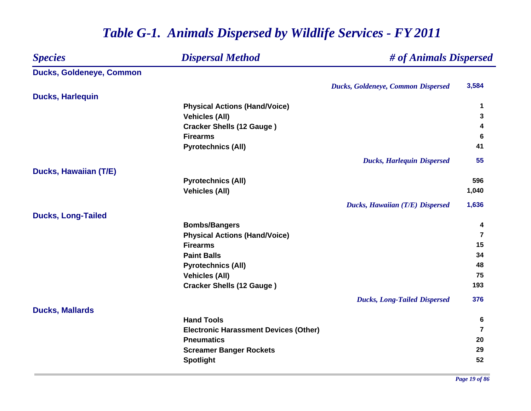### *Species Dispersal Method # of Animals Dispersed* **Ducks, Goldeneye, Common** *Ducks, Goldeneye, Common Dispersed* **3,584 Ducks, Harlequin Physical Actions (Hand/Voice) <sup>1</sup> Vehicles (All) 3 Cracker Shells (12 Gauge ) <sup>4</sup> Firearms 6 Pyrotechnics (All) <sup>41</sup>** *Ducks, Harlequin Dispersed* **55 Ducks, Hawaiian (T/E) Pyrotechnics (All) 596 Vehicles (All) 1,040** *Ducks, Hawaiian (T/E) Dispersed* **1,636 Ducks, Long-Tailed Bombs/Bangers <sup>4</sup> Physical Actions (Hand/Voice) <sup>7</sup> Firearms 15 Paint Balls5 34 Pyrotechnics (All) <sup>48</sup> Vehicles (All) 75 Cracker Shells (12 Gauge ) <sup>193</sup>** *Ducks, Long-Tailed Dispersed* **376 Ducks, Mallards Hand Tools 6 Electronic Harassment Devices (Other) <sup>7</sup> Pneumatics 20 Screamer Banger Rockets <sup>29</sup> Spotlight <sup>52</sup>**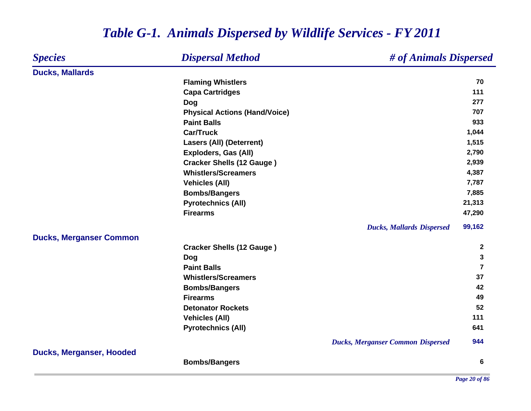#### *Species Dispersal Method # of Animals Dispersed* **Ducks, Mallards Flaming Whistlers <sup>70</sup> Capa Cartridges <sup>111</sup> Dog <sup>277</sup> Physical Actions (Hand/Voice) <sup>707</sup> Paint Balls 933 Car/Truck 1,044 Lasers (All) (Deterrent) 1,515 Exploders, Gas (All) 2,790 Cracker Shells (12 Gauge ) 2,939 Whistlers/Screamers 4,387 Vehicles (All) 7,787 Bombs/Bangers 7,885 Pyrotechnics (All) 21,313 Firearms 47,290** *Ducks, Mallards Dispersed* **99,162 Ducks, Merganser Common Cracker Shells (12 Gauge ) <sup>2</sup> Dog <sup>3</sup> Paint Balls 7 Whistlers/Screamers5** 37 **Bombs/Bangers <sup>42</sup> Firearms 49 Detonator Rockets52 52 Vehicles (All) <sup>111</sup> Pyrotechnics (All) <sup>641</sup>** *Ducks, Merganser Common Dispersed* **944 Ducks, Merganser, Hooded Bombs/Bangers <sup>6</sup>**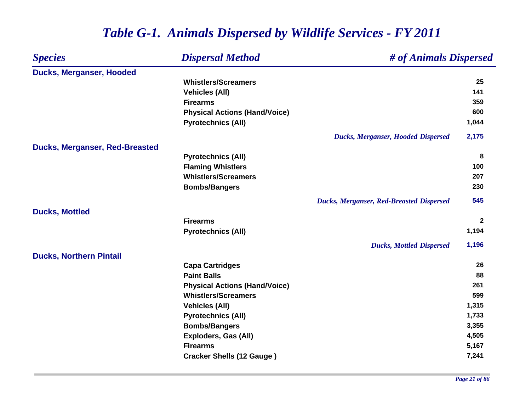| <b>Species</b>                        | <b>Dispersal Method</b>              | # of Animals Dispersed                          |              |
|---------------------------------------|--------------------------------------|-------------------------------------------------|--------------|
| <b>Ducks, Merganser, Hooded</b>       |                                      |                                                 |              |
|                                       | <b>Whistlers/Screamers</b>           |                                                 | 25           |
|                                       | <b>Vehicles (All)</b>                |                                                 | 141          |
|                                       | <b>Firearms</b>                      |                                                 | 359          |
|                                       | <b>Physical Actions (Hand/Voice)</b> |                                                 | 600          |
|                                       | <b>Pyrotechnics (All)</b>            |                                                 | 1,044        |
|                                       |                                      | <b>Ducks, Merganser, Hooded Dispersed</b>       | 2,175        |
| <b>Ducks, Merganser, Red-Breasted</b> |                                      |                                                 |              |
|                                       | <b>Pyrotechnics (All)</b>            |                                                 | 8            |
|                                       | <b>Flaming Whistlers</b>             |                                                 | 100          |
|                                       | <b>Whistlers/Screamers</b>           |                                                 | 207          |
|                                       | <b>Bombs/Bangers</b>                 |                                                 | 230          |
|                                       |                                      | <b>Ducks, Merganser, Red-Breasted Dispersed</b> | 545          |
| <b>Ducks, Mottled</b>                 |                                      |                                                 |              |
|                                       | <b>Firearms</b>                      |                                                 | $\mathbf{2}$ |
|                                       | <b>Pyrotechnics (All)</b>            |                                                 | 1,194        |
|                                       |                                      | <b>Ducks, Mottled Dispersed</b>                 | 1,196        |
| <b>Ducks, Northern Pintail</b>        |                                      |                                                 |              |
|                                       | <b>Capa Cartridges</b>               |                                                 | 26           |
|                                       | <b>Paint Balls</b>                   |                                                 | 88           |
|                                       | <b>Physical Actions (Hand/Voice)</b> |                                                 | 261          |
|                                       | <b>Whistlers/Screamers</b>           |                                                 | 599          |
|                                       | <b>Vehicles (All)</b>                |                                                 | 1,315        |
|                                       | <b>Pyrotechnics (All)</b>            |                                                 | 1,733        |
|                                       | <b>Bombs/Bangers</b>                 |                                                 | 3,355        |
|                                       | Exploders, Gas (All)                 |                                                 | 4,505        |
|                                       | <b>Firearms</b>                      |                                                 | 5,167        |
|                                       | <b>Cracker Shells (12 Gauge)</b>     |                                                 | 7,241        |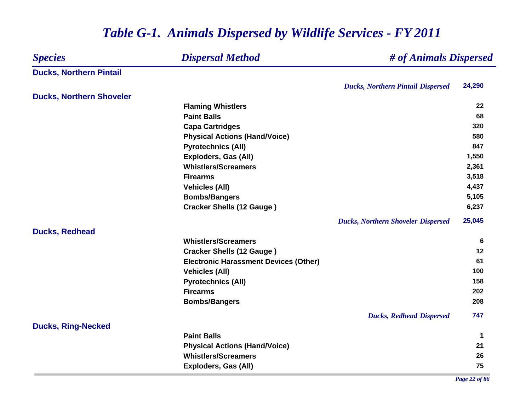| <b>Dispersal Method</b><br><b>Species</b> |                                              | # of Animals Dispersed                    |             |  |
|-------------------------------------------|----------------------------------------------|-------------------------------------------|-------------|--|
| <b>Ducks, Northern Pintail</b>            |                                              |                                           |             |  |
|                                           |                                              | <b>Ducks, Northern Pintail Dispersed</b>  | 24,290      |  |
| <b>Ducks, Northern Shoveler</b>           |                                              |                                           |             |  |
|                                           | <b>Flaming Whistlers</b>                     |                                           | 22          |  |
|                                           | <b>Paint Balls</b>                           |                                           | 68          |  |
|                                           | <b>Capa Cartridges</b>                       |                                           | 320         |  |
|                                           | <b>Physical Actions (Hand/Voice)</b>         |                                           | 580         |  |
|                                           | <b>Pyrotechnics (All)</b>                    |                                           | 847         |  |
|                                           | <b>Exploders, Gas (All)</b>                  |                                           | 1,550       |  |
|                                           | <b>Whistlers/Screamers</b>                   |                                           | 2,361       |  |
|                                           | <b>Firearms</b>                              |                                           | 3,518       |  |
|                                           | <b>Vehicles (All)</b>                        |                                           | 4,437       |  |
|                                           | <b>Bombs/Bangers</b>                         |                                           | 5,105       |  |
|                                           | <b>Cracker Shells (12 Gauge)</b>             |                                           | 6,237       |  |
|                                           |                                              | <b>Ducks, Northern Shoveler Dispersed</b> | 25,045      |  |
| <b>Ducks, Redhead</b>                     | <b>Whistlers/Screamers</b>                   |                                           | 6           |  |
|                                           | <b>Cracker Shells (12 Gauge)</b>             |                                           | 12          |  |
|                                           | <b>Electronic Harassment Devices (Other)</b> |                                           | 61          |  |
|                                           | <b>Vehicles (All)</b>                        |                                           | 100         |  |
|                                           | <b>Pyrotechnics (All)</b>                    |                                           | 158         |  |
|                                           | <b>Firearms</b>                              |                                           | 202         |  |
|                                           | <b>Bombs/Bangers</b>                         |                                           | 208         |  |
|                                           |                                              |                                           |             |  |
|                                           |                                              | <b>Ducks, Redhead Dispersed</b>           | 747         |  |
| <b>Ducks, Ring-Necked</b>                 |                                              |                                           |             |  |
|                                           | <b>Paint Balls</b>                           |                                           | $\mathbf 1$ |  |
|                                           | <b>Physical Actions (Hand/Voice)</b>         |                                           | 21          |  |
|                                           | <b>Whistlers/Screamers</b>                   |                                           | 26          |  |
|                                           | <b>Exploders, Gas (All)</b>                  |                                           | 75          |  |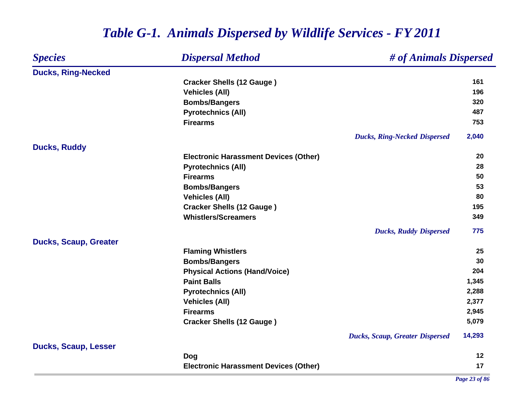### *Species Dispersal Method # of Animals Dispersed* **Ducks, Ring-Necked Cracker Shells (12 Gauge ) <sup>161</sup> Vehicles (All) 196 Bombs/Bangers <sup>320</sup> Pyrotechnics (All) <sup>487</sup> Firearms 753** *Ducks, Ring-Necked Dispersed* **2,040 Ducks, Ruddy Electronic Harassment Devices (Other) 20 Pyrotechnics (All) <sup>28</sup> Firearms 50 Bombs/Bangers <sup>53</sup> Vehicles (All) 80 Cracker Shells (12 Gauge ) <sup>195</sup> Whistlers/Screamers 349** *Ducks, Ruddy Dispersed* **775 Ducks, Scaup, Greater Flaming Whistlers <sup>25</sup> Bombs/Bangers <sup>30</sup> Physical Actions (Hand/Voice) <sup>204</sup> Paint Balls 1,345 Pyrotechnics (All) 2,288 Vehicles (All) 2,377 Firearms 2,945 Cracker Shells (12 Gauge ) 5,079** *Ducks, Scaup, Greater Dispersed* **14,293 Ducks, Scaup, Lesser Dog <sup>12</sup> Electronic Harassment Devices (Other) <sup>17</sup>**

### *Table G-1. Animals Dispersed by Wildlife Services - FY 2011*

*Page 23 of 86*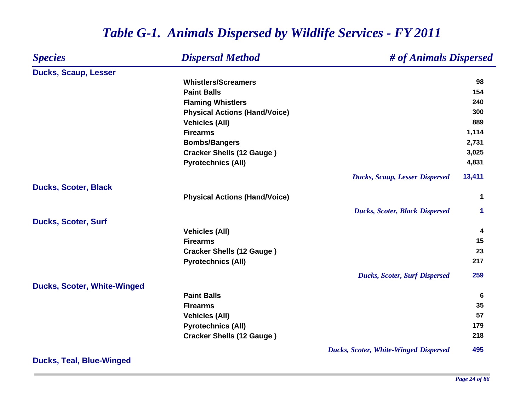### *Species Dispersal Method # of Animals Dispersed* **Ducks, Scaup, Lesser Whistlers/Screamers 98 Paint Balls 154 Flaming Whistlers <sup>240</sup> Physical Actions (Hand/Voice) <sup>300</sup> Vehicles (All) 889 Firearms 1,114 Bombs/Bangers 2,731 Cracker Shells (12 Gauge ) 3,025 Pyrotechnics (All) 4,831** *Ducks, Scaup, Lesser Dispersed* **13,411 Ducks, Scoter, Black Physical Actions (Hand/Voice) <sup>1</sup>** *Ducks, Scoter, Black Dispersed* **1 Ducks, Scoter, Surf Vehicles (All) <sup>4</sup> Firearms 15 Cracker Shells (12 Gauge ) <sup>23</sup> Pyrotechnics (All) <sup>217</sup>** *Ducks, Scoter, Surf Dispersed* **259 Ducks, Scoter, White-Winged Paint Balls 6 Firearms 35 Vehicles (All) 57 Pyrotechnics (All) <sup>179</sup> Cracker Shells (12 Gauge ) <sup>218</sup>** *Ducks, Scoter, White-Winged Dispersed* **495**

## *Table G-1. Animals Dispersed by Wildlife Services - FY 2011*

**Ducks, Teal, Blue-Winged**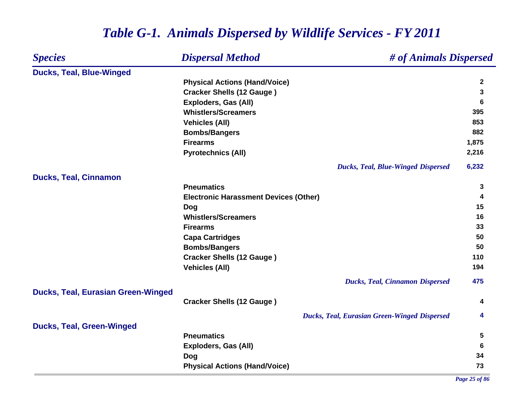### *Species Dispersal Method # of Animals Dispersed* **Ducks, Teal, Blue-Winged Physical Actions (Hand/Voice) <sup>2</sup> Cracker Shells (12 Gauge ) <sup>3</sup> Exploders, Gas (All) 6 Whistlers/ScreamersS** 395 **Vehicles (All) 853 Bombs/Bangers <sup>882</sup> Firearms 1,875 Pyrotechnics (All) 2,216** *Ducks, Teal, Blue-Winged Dispersed* **6,232 Ducks, Teal, Cinnamon Pneumatics 3 Electronic Harassment Devices (Other) <sup>4</sup> Dog <sup>15</sup> Whistlers/Screamers 16 Firearms 33 Capa Cartridges <sup>50</sup> Bombs/Bangers <sup>50</sup> Cracker Shells (12 Gauge ) <sup>110</sup> Vehicles (All) 194** *Ducks, Teal, Cinnamon Dispersed* **475 Ducks, Teal, Eurasian Green-Winged Cracker Shells (12 Gauge ) <sup>4</sup>** *Ducks, Teal, Eurasian Green-Winged Dispersed* **4 Ducks, Teal, Green-Winged Pneumatics 5 Exploders, Gas (All) 6 Dog <sup>34</sup> Physical Actions (Hand/Voice) <sup>73</sup>**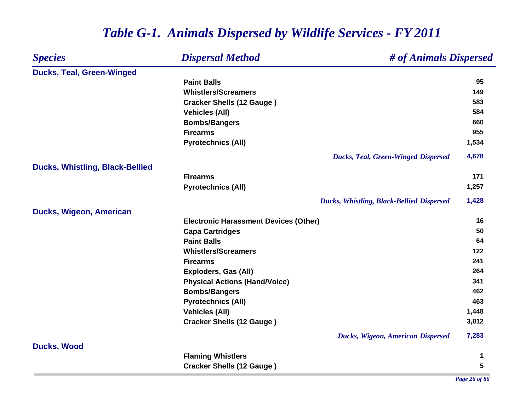#### *Species Dispersal Method # of Animals Dispersed* **Ducks, Teal, Green-Winged Paint Balls95 995 Whistlers/Screamers149 Cracker Shells (12 Gauge ) <sup>583</sup> Vehicles (All) 584 Bombs/Bangers <sup>660</sup> Firearms 955 Pyrotechnics (All) 1,534** *Ducks, Teal, Green-Winged Dispersed* **4,678 Ducks, Whistling, Black-Bellied Firearms 171 Pyrotechnics (All) 1,257** *Ducks, Whistling, Black-Bellied Dispersed* **1,428 Ducks, Wigeon, American Electronic Harassment Devices (Other) 16 Capa Cartridges <sup>50</sup> Paint Balls 64 Whistlers/Screamers 122 Firearms 241 Exploders, Gas (All) 264 Physical Actions (Hand/Voice) <sup>341</sup> Bombs/Bangers <sup>462</sup> Pyrotechnics (All) <sup>463</sup> Vehicles (All) 1,448 Cracker Shells (12 Gauge ) 3,812** *Ducks, Wigeon, American Dispersed* **7,283 Ducks, Wood Flaming Whistlers <sup>1</sup> Cracker Shells (12 Gauge ) <sup>5</sup>**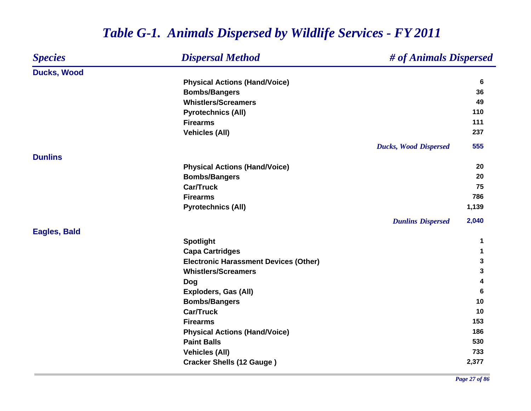#### *Species Dispersal Method # of Animals Dispersed* **Ducks, Wood Physical Actions (Hand/Voice) <sup>6</sup> Bombs/Bangers <sup>36</sup> Whistlers/Screamers 49 Pyrotechnics (All) <sup>110</sup> Firearms 111 Vehicles (All) 237** *Ducks, Wood Dispersed* **555 DunlinsPhysical Actions (Hand/Voice) <sup>20</sup> Bombs/Bangers <sup>20</sup> Car/Truck 75 Firearms 786 Pyrotechnics (All) 1,139** *Dunlins Dispersed* **2,040 Eagles, Bald Spotlight <sup>1</sup> Capa Cartridges <sup>1</sup> Electronic Harassment Devices (Other) 3 Whistlers/Screamers 3 Dog <sup>4</sup> Exploders, Gas (All) 6 Bombs/Bangers <sup>10</sup> Car/Truck10 Firearms153 153 Physical Actions (Hand/Voice) <sup>186</sup> Paint Balls 530 Vehicles (All) 733 Cracker Shells (12 Gauge ) 2,377**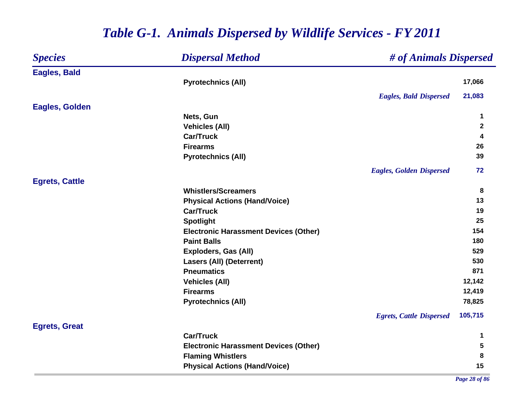| <b>Species</b>        | <b>Dispersal Method</b>                      | # of Animals Dispersed          |                  |
|-----------------------|----------------------------------------------|---------------------------------|------------------|
| <b>Eagles, Bald</b>   |                                              |                                 |                  |
|                       | <b>Pyrotechnics (All)</b>                    |                                 | 17,066           |
|                       |                                              | <b>Eagles, Bald Dispersed</b>   | 21,083           |
| <b>Eagles, Golden</b> |                                              |                                 |                  |
|                       | Nets, Gun                                    |                                 | $\mathbf 1$      |
|                       | <b>Vehicles (All)</b>                        |                                 | $\boldsymbol{2}$ |
|                       | <b>Car/Truck</b>                             |                                 | 4                |
|                       | <b>Firearms</b>                              |                                 | 26               |
|                       | <b>Pyrotechnics (All)</b>                    |                                 | 39               |
|                       |                                              | <b>Eagles, Golden Dispersed</b> | 72               |
| <b>Egrets, Cattle</b> |                                              |                                 |                  |
|                       | <b>Whistlers/Screamers</b>                   |                                 | 8                |
|                       | <b>Physical Actions (Hand/Voice)</b>         |                                 | 13               |
|                       | <b>Car/Truck</b>                             |                                 | 19               |
|                       | <b>Spotlight</b>                             |                                 | 25               |
|                       | <b>Electronic Harassment Devices (Other)</b> |                                 | 154              |
|                       | <b>Paint Balls</b>                           |                                 | 180              |
|                       | Exploders, Gas (All)                         |                                 | 529              |
|                       | <b>Lasers (All) (Deterrent)</b>              |                                 | 530              |
|                       | <b>Pneumatics</b>                            |                                 | 871              |
|                       | <b>Vehicles (All)</b>                        |                                 | 12,142           |
|                       | <b>Firearms</b>                              |                                 | 12,419           |
|                       | <b>Pyrotechnics (All)</b>                    |                                 | 78,825           |
|                       |                                              | <b>Egrets, Cattle Dispersed</b> | 105,715          |
| <b>Egrets, Great</b>  |                                              |                                 |                  |
|                       | <b>Car/Truck</b>                             |                                 | $\mathbf 1$      |
|                       | <b>Electronic Harassment Devices (Other)</b> |                                 | ${\bf 5}$        |
|                       | <b>Flaming Whistlers</b>                     |                                 | 8                |
|                       | <b>Physical Actions (Hand/Voice)</b>         |                                 | 15               |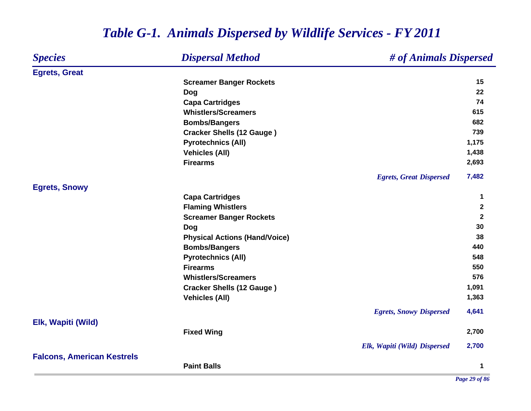### *Species Dispersal Method # of Animals Dispersed* **Egrets, Great Screamer Banger Rockets <sup>15</sup> Dog <sup>22</sup> Capa Cartridges <sup>74</sup> Whistlers/Screamers 615 Bombs/Bangers <sup>682</sup> Cracker Shells (12 Gauge ) <sup>739</sup> Pyrotechnics (All) 1,175 Vehicles (All) 1,438 Firearms 2,693** *Egrets, Great Dispersed* **7,482 Egrets, Snowy Capa Cartridges <sup>1</sup> Flaming Whistlers <sup>2</sup> Screamer Banger Rockets <sup>2</sup> Dog <sup>30</sup> Physical Actions (Hand/Voice) <sup>38</sup> Bombs/Bangers <sup>440</sup> Pyrotechnics (All) 548 Firearms550 550 Whistlers/Screamers576 576 Cracker Shells (12 Gauge ) 1,091 Vehicles (All) 1,363** *Egrets, Snowy Dispersed* **4,641 Elk, Wapiti (Wild) Fixed Wing 2,700** *Elk, Wapiti (Wild) Dispersed* **2,700 Falcons, American Kestrels Paint Balls1**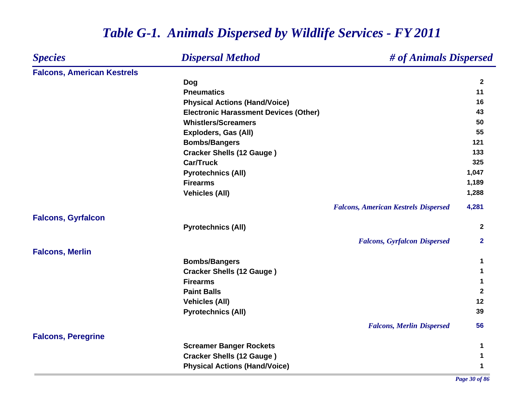| <b>Species</b>                    | <b>Dispersal Method</b>                      | # of Animals Dispersed                      |                  |
|-----------------------------------|----------------------------------------------|---------------------------------------------|------------------|
| <b>Falcons, American Kestrels</b> |                                              |                                             |                  |
|                                   | Dog                                          |                                             | $\boldsymbol{2}$ |
|                                   | <b>Pneumatics</b>                            |                                             | 11               |
|                                   | <b>Physical Actions (Hand/Voice)</b>         |                                             | 16               |
|                                   | <b>Electronic Harassment Devices (Other)</b> |                                             | 43               |
|                                   | <b>Whistlers/Screamers</b>                   |                                             | 50               |
|                                   | <b>Exploders, Gas (All)</b>                  |                                             | 55               |
|                                   | <b>Bombs/Bangers</b>                         |                                             | 121              |
|                                   | <b>Cracker Shells (12 Gauge)</b>             |                                             | 133              |
|                                   | <b>Car/Truck</b>                             |                                             | 325              |
|                                   | <b>Pyrotechnics (All)</b>                    |                                             | 1,047            |
|                                   | <b>Firearms</b>                              |                                             | 1,189            |
|                                   | <b>Vehicles (All)</b>                        |                                             | 1,288            |
|                                   |                                              | <b>Falcons, American Kestrels Dispersed</b> | 4,281            |
| <b>Falcons, Gyrfalcon</b>         |                                              |                                             |                  |
|                                   | <b>Pyrotechnics (All)</b>                    |                                             | $\mathbf{2}$     |
|                                   |                                              | <b>Falcons, Gyrfalcon Dispersed</b>         | $\mathbf{2}$     |
| <b>Falcons, Merlin</b>            |                                              |                                             |                  |
|                                   | <b>Bombs/Bangers</b>                         |                                             | 1                |
|                                   | <b>Cracker Shells (12 Gauge)</b>             |                                             |                  |
|                                   | <b>Firearms</b>                              |                                             | 1                |
|                                   | <b>Paint Balls</b>                           |                                             | $\boldsymbol{2}$ |
|                                   | <b>Vehicles (All)</b>                        |                                             | 12               |
|                                   | <b>Pyrotechnics (All)</b>                    |                                             | 39               |
|                                   |                                              | <b>Falcons, Merlin Dispersed</b>            | 56               |
| <b>Falcons, Peregrine</b>         |                                              |                                             |                  |
|                                   | <b>Screamer Banger Rockets</b>               |                                             | 1                |
|                                   | <b>Cracker Shells (12 Gauge)</b>             |                                             | 1                |
|                                   | <b>Physical Actions (Hand/Voice)</b>         |                                             | 1                |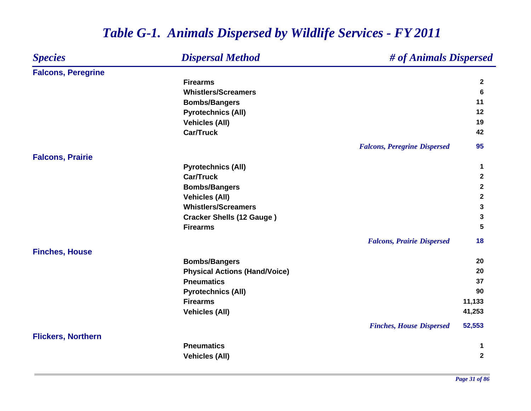#### *Species Dispersal Method # of Animals Dispersed* **Falcons, Peregrine Firearms 2 Whistlers/Screamers 6 Bombs/Bangers <sup>11</sup> Pyrotechnics (All) <sup>12</sup> Vehicles (All) 19 Car/Truck 42** *Falcons, Peregrine Dispersed* **95 Falcons, Prairie Pyrotechnics (All) <sup>1</sup> Car/Truck 2 Bombs/Bangers <sup>2</sup> Vehicles (All) <sup>2</sup> Whistlers/Screamers 3 Cracker Shells (12 Gauge ) <sup>3</sup> Firearms 5** *Falcons, Prairie Dispersed* **18 Finches, House Bombs/Bangers <sup>20</sup> Physical Actions (Hand/Voice) <sup>20</sup> Pneumatics5 37 Pyrotechnics (All) <sup>90</sup> Firearms 11,133 Vehicles (All) 41,253** *Finches, House Dispersed* **52,553 Flickers, Northern Pneumatics 1 Vehicles (All) <sup>2</sup>**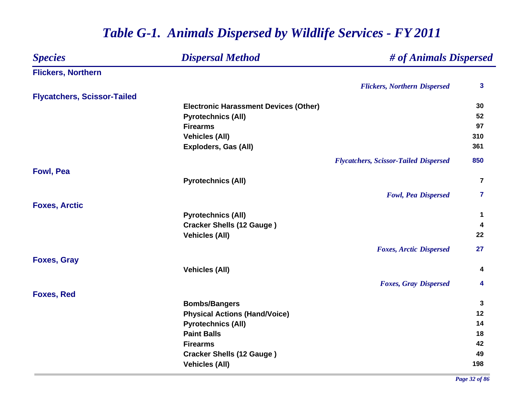| <b>Dispersal Method</b><br><b>Species</b> |                                              | # of Animals Dispersed                       |                         |
|-------------------------------------------|----------------------------------------------|----------------------------------------------|-------------------------|
| <b>Flickers, Northern</b>                 |                                              |                                              |                         |
|                                           |                                              | <b>Flickers, Northern Dispersed</b>          | $\mathbf{3}$            |
| <b>Flycatchers, Scissor-Tailed</b>        |                                              |                                              |                         |
|                                           | <b>Electronic Harassment Devices (Other)</b> |                                              | 30                      |
|                                           | <b>Pyrotechnics (All)</b>                    |                                              | 52                      |
|                                           | <b>Firearms</b>                              |                                              | 97                      |
|                                           | <b>Vehicles (All)</b>                        |                                              | 310                     |
|                                           | Exploders, Gas (All)                         |                                              | 361                     |
|                                           |                                              | <b>Flycatchers, Scissor-Tailed Dispersed</b> | 850                     |
| <b>Fowl, Pea</b>                          |                                              |                                              |                         |
|                                           | <b>Pyrotechnics (All)</b>                    |                                              | $\overline{\mathbf{r}}$ |
|                                           |                                              | <b>Fowl, Pea Dispersed</b>                   | 7                       |
| <b>Foxes, Arctic</b>                      |                                              |                                              |                         |
|                                           | <b>Pyrotechnics (All)</b>                    |                                              | 1                       |
|                                           | <b>Cracker Shells (12 Gauge)</b>             |                                              | 4                       |
|                                           | <b>Vehicles (All)</b>                        |                                              | 22                      |
|                                           |                                              | <b>Foxes, Arctic Dispersed</b>               | 27                      |
| <b>Foxes, Gray</b>                        |                                              |                                              |                         |
|                                           | <b>Vehicles (All)</b>                        |                                              | 4                       |
|                                           |                                              | <b>Foxes, Gray Dispersed</b>                 | 4                       |
| <b>Foxes, Red</b>                         |                                              |                                              |                         |
|                                           | <b>Bombs/Bangers</b>                         |                                              | 3                       |
|                                           | <b>Physical Actions (Hand/Voice)</b>         |                                              | 12                      |
|                                           | <b>Pyrotechnics (All)</b>                    |                                              | 14                      |
|                                           | <b>Paint Balls</b>                           |                                              | 18                      |
|                                           | <b>Firearms</b>                              |                                              | 42                      |
|                                           | <b>Cracker Shells (12 Gauge)</b>             |                                              | 49                      |
|                                           | <b>Vehicles (All)</b>                        |                                              | 198                     |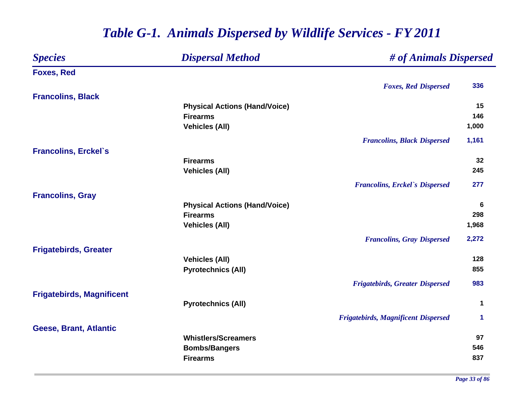### *Species Dispersal Method # of Animals Dispersed* **Foxes, Red** *Foxes, Red Dispersed* **336 Francolins, Black Physical Actions (Hand/Voice) 15 Firearms 146 Vehicles (All) 1,000** *Francolins, Black Dispersed* **1,161 Francolins, Erckel`s Firearms 32 Vehicles (All) 245** *Francolins, Erckel`s Dispersed* **277 Francolins, Gray Physical Actions (Hand/Voice) <sup>6</sup> Firearms 298 Vehicles (All) 1,968** *Francolins, Gray Dispersed* **2,272 Frigatebirds, Greater Vehicles (All) 128 Pyrotechnics (All) 855** *Frigatebirds, Greater Dispersed* **983 Frigatebirds, Magnificent Pyrotechnics (All) <sup>1</sup>** *Frigatebirds, Magnificent Dispersed* **1 Geese, Brant, Atlantic Whistlers/Screamers97 97 Bombs/Bangers <sup>546</sup> Firearms837 837**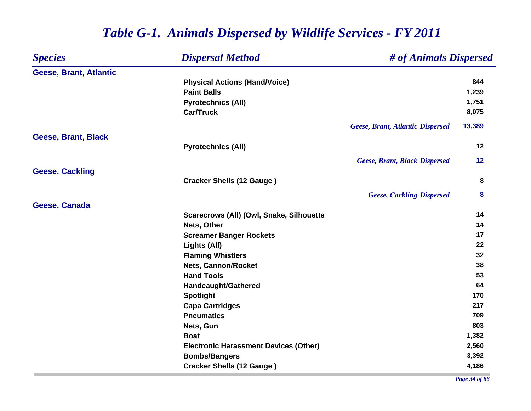### *Species Dispersal Method # of Animals Dispersed* **Geese, Brant, Atlantic Physical Actions (Hand/Voice) <sup>844</sup> Paint Balls 1,239 Pyrotechnics (All) 1,751 Car/Truck 8,075** *Geese, Brant, Atlantic Dispersed* **13,389 Geese, Brant, Black Pyrotechnics (All) <sup>12</sup>** *Geese, Brant, Black Dispersed* **12 Geese, Cackling Cracker Shells (12 Gauge ) <sup>8</sup>** *Geese, Cackling Dispersed* **8 Geese, Canada Scarecrows (All) (Owl, Snake, Silhouette <sup>14</sup> Nets, Other 14 Screamer Banger Rockets <sup>17</sup> Lights (All) <sup>22</sup> Flaming Whistlers <sup>32</sup> Nets, Cannon/Rocket 38 Hand Tools 53 Handcaught/Gathered <sup>64</sup> Spotlight <sup>170</sup> Capa Cartridges <sup>217</sup> Pneumatics 709 Nets, Gun** 803 **Boat 1,382 Electronic Harassment Devices (Other) 2,560 Bombs/Bangers 3,392 Cracker Shells (12 Gauge ) 4,186**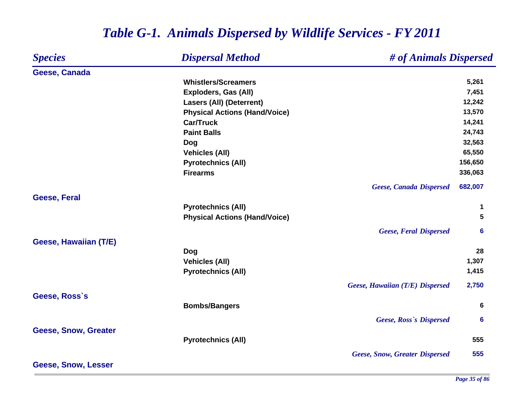### *Species Dispersal Method # of Animals Dispersed* **Geese, Canada Whistlers/Screamers5,261 Exploders, Gas (All) 7,451 Lasers (All) (Deterrent) 12,242 Physical Actions (Hand/Voice) 13,570 Car/Truck 14,241 Paint Balls 24,743 Dog 32,563 Vehicles (All) 65,550 Pyrotechnics (All) 156,650 Firearms 336,063** *Geese, Canada Dispersed* **682,007 Geese, Feral Pyrotechnics (All) <sup>1</sup> Physical Actions (Hand/Voice) 5** *Geese, Feral Dispersed* **6 Geese, Hawaiian (T/E) Dog <sup>28</sup> Vehicles (All) 1,307 Pyrotechnics (All) 1,415** *Geese, Hawaiian (T/E) Dispersed* **2,750 Geese, Ross`s Bombs/Bangers <sup>6</sup>** *Geese, Ross`s Dispersed* **6 Geese, Snow, Greater Pyrotechnics (All) 555** *Geese, Snow, Greater Dispersed* **555 Geese, Snow, Lesser**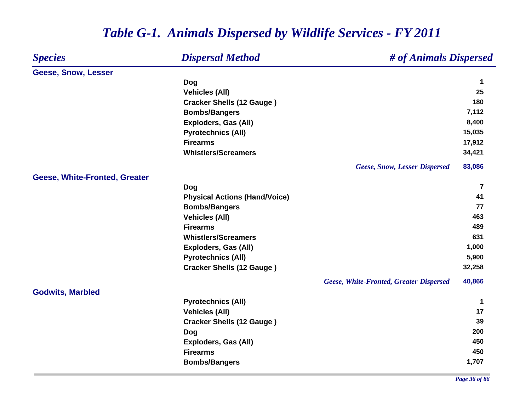| <b>Species</b>                | <b>Dispersal Method</b><br># of Animals Dispersed |                      |
|-------------------------------|---------------------------------------------------|----------------------|
| Geese, Snow, Lesser           |                                                   |                      |
|                               | Dog                                               | $\mathbf 1$          |
|                               | <b>Vehicles (All)</b>                             | 25                   |
|                               | <b>Cracker Shells (12 Gauge)</b>                  | 180                  |
|                               | <b>Bombs/Bangers</b>                              | 7,112                |
|                               | <b>Exploders, Gas (All)</b>                       | 8,400                |
|                               | <b>Pyrotechnics (All)</b>                         | 15,035               |
|                               | <b>Firearms</b>                                   | 17,912               |
|                               | <b>Whistlers/Screamers</b>                        | 34,421               |
|                               | <b>Geese, Snow, Lesser Dispersed</b>              | 83,086               |
| Geese, White-Fronted, Greater |                                                   |                      |
|                               | Dog                                               | $\overline{7}$<br>41 |
|                               | <b>Physical Actions (Hand/Voice)</b>              |                      |
|                               | <b>Bombs/Bangers</b>                              | 77<br>463            |
|                               | <b>Vehicles (All)</b>                             | 489                  |
|                               | <b>Firearms</b>                                   | 631                  |
|                               | <b>Whistlers/Screamers</b>                        |                      |
|                               | <b>Exploders, Gas (All)</b>                       | 1,000                |
|                               | <b>Pyrotechnics (All)</b>                         | 5,900                |
|                               | <b>Cracker Shells (12 Gauge)</b>                  | 32,258               |
|                               | <b>Geese, White-Fronted, Greater Dispersed</b>    | 40,866               |
| <b>Godwits, Marbled</b>       |                                                   |                      |
|                               | <b>Pyrotechnics (All)</b>                         | 1                    |
|                               | <b>Vehicles (All)</b>                             | 17                   |
|                               | <b>Cracker Shells (12 Gauge)</b>                  | 39                   |
|                               | <b>Dog</b>                                        | 200                  |
|                               | <b>Exploders, Gas (All)</b>                       | 450                  |
|                               | <b>Firearms</b>                                   | 450                  |
|                               | <b>Bombs/Bangers</b>                              | 1,707                |
|                               |                                                   |                      |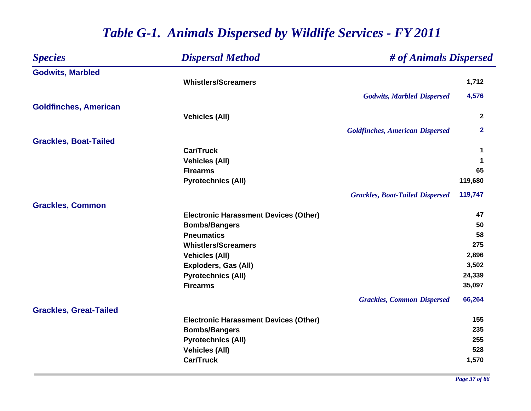| <b>Species</b>                | <b>Dispersal Method</b>                      | # of Animals Dispersed                 |              |
|-------------------------------|----------------------------------------------|----------------------------------------|--------------|
| <b>Godwits, Marbled</b>       |                                              |                                        |              |
|                               | <b>Whistlers/Screamers</b>                   |                                        | 1,712        |
|                               |                                              | <b>Godwits, Marbled Dispersed</b>      | 4,576        |
| <b>Goldfinches, American</b>  |                                              |                                        |              |
|                               | <b>Vehicles (All)</b>                        |                                        | $\mathbf{2}$ |
|                               |                                              | <b>Goldfinches, American Dispersed</b> | $\mathbf{2}$ |
| <b>Grackles, Boat-Tailed</b>  |                                              |                                        |              |
|                               | <b>Car/Truck</b>                             |                                        | 1            |
|                               | <b>Vehicles (All)</b>                        |                                        | 1            |
|                               | <b>Firearms</b>                              |                                        | 65           |
|                               | <b>Pyrotechnics (All)</b>                    |                                        | 119,680      |
|                               |                                              | <b>Grackles, Boat-Tailed Dispersed</b> | 119,747      |
| <b>Grackles, Common</b>       |                                              |                                        |              |
|                               | <b>Electronic Harassment Devices (Other)</b> |                                        | 47           |
|                               | <b>Bombs/Bangers</b>                         |                                        | 50           |
|                               | <b>Pneumatics</b>                            |                                        | 58           |
|                               | <b>Whistlers/Screamers</b>                   |                                        | 275          |
|                               | <b>Vehicles (All)</b>                        |                                        | 2,896        |
|                               | <b>Exploders, Gas (All)</b>                  |                                        | 3,502        |
|                               | <b>Pyrotechnics (All)</b>                    |                                        | 24,339       |
|                               | <b>Firearms</b>                              |                                        | 35,097       |
|                               |                                              | <b>Grackles, Common Dispersed</b>      | 66,264       |
| <b>Grackles, Great-Tailed</b> |                                              |                                        |              |
|                               | <b>Electronic Harassment Devices (Other)</b> |                                        | 155          |
|                               | <b>Bombs/Bangers</b>                         |                                        | 235          |
|                               | <b>Pyrotechnics (All)</b>                    |                                        | 255          |
|                               | <b>Vehicles (All)</b>                        |                                        | 528          |
|                               | <b>Car/Truck</b>                             |                                        | 1,570        |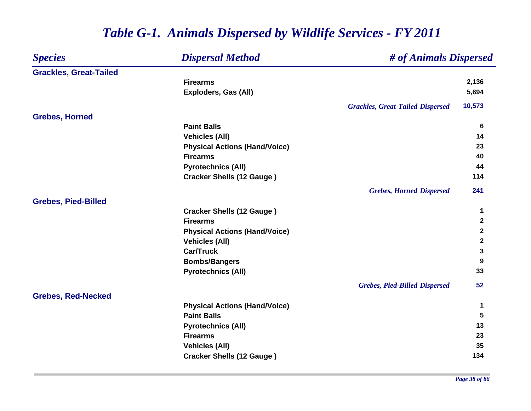| <b>Species</b>                | <b>Dispersal Method</b>              | # of Animals Dispersed                  |              |
|-------------------------------|--------------------------------------|-----------------------------------------|--------------|
| <b>Grackles, Great-Tailed</b> |                                      |                                         |              |
|                               | <b>Firearms</b>                      |                                         | 2,136        |
|                               | Exploders, Gas (All)                 |                                         | 5,694        |
|                               |                                      | <b>Grackles, Great-Tailed Dispersed</b> | 10,573       |
| <b>Grebes, Horned</b>         |                                      |                                         |              |
|                               | <b>Paint Balls</b>                   |                                         | 6            |
|                               | <b>Vehicles (All)</b>                |                                         | 14           |
|                               | <b>Physical Actions (Hand/Voice)</b> |                                         | 23           |
|                               | <b>Firearms</b>                      |                                         | 40           |
|                               | <b>Pyrotechnics (All)</b>            |                                         | 44           |
|                               | <b>Cracker Shells (12 Gauge)</b>     |                                         | 114          |
|                               |                                      | <b>Grebes, Horned Dispersed</b>         | 241          |
| <b>Grebes, Pied-Billed</b>    |                                      |                                         |              |
|                               | <b>Cracker Shells (12 Gauge)</b>     |                                         | $\mathbf 1$  |
|                               | <b>Firearms</b>                      |                                         | $\mathbf{2}$ |
|                               | <b>Physical Actions (Hand/Voice)</b> |                                         | $\mathbf{2}$ |
|                               | <b>Vehicles (All)</b>                |                                         | $\mathbf{2}$ |
|                               | <b>Car/Truck</b>                     |                                         | 3            |
|                               | <b>Bombs/Bangers</b>                 |                                         | 9            |
|                               | <b>Pyrotechnics (All)</b>            |                                         | 33           |
|                               |                                      | <b>Grebes, Pied-Billed Dispersed</b>    | 52           |
| <b>Grebes, Red-Necked</b>     |                                      |                                         |              |
|                               | <b>Physical Actions (Hand/Voice)</b> |                                         | $\mathbf 1$  |
|                               | <b>Paint Balls</b>                   |                                         | 5            |
|                               | <b>Pyrotechnics (All)</b>            |                                         | 13           |
|                               | <b>Firearms</b>                      |                                         | 23           |
|                               | <b>Vehicles (All)</b>                |                                         | 35           |
|                               | <b>Cracker Shells (12 Gauge)</b>     |                                         | 134          |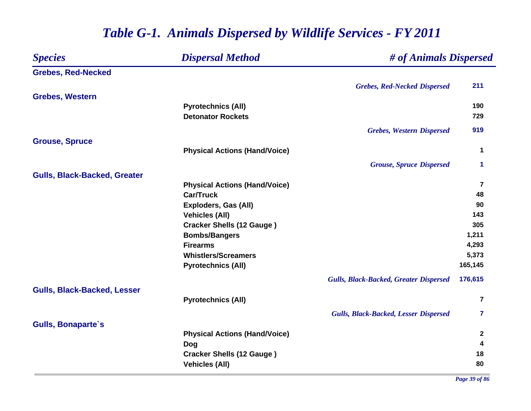### *Species Dispersal Method # of Animals Dispersed* **Grebes, Red-Necked** *Grebes, Red-Necked Dispersed* **211 Grebes, Western Pyrotechnics (All) <sup>190</sup> Detonator Rockets 729** *Grebes, Western Dispersed* **919 Grouse, Spruce Physical Actions (Hand/Voice) <sup>1</sup>** *Grouse, Spruce Dispersed* **1 Gulls, Black-Backed, Greater Physical Actions (Hand/Voice) <sup>7</sup> Car/Truck 48 Exploders, Gas (All) 90 Vehicles (All) 143 Cracker Shells (12 Gauge ) <sup>305</sup> Bombs/Bangers 1,211 Firearms 4,293 Whistlers/Screamers 5,373 Pyrotechnics (All) 165,145** *Gulls, Black-Backed, Greater Dispersed* **176,615 Gulls, Black-Backed, Lesser Pyrotechnics (All) <sup>7</sup>** *Gulls, Black-Backed, Lesser Dispersed* **7 Gulls, Bonaparte`s Physical Actions (Hand/Voice) <sup>2</sup> Dog <sup>4</sup> Cracker Shells (12 Gauge ) <sup>18</sup> Vehicles (All) 80**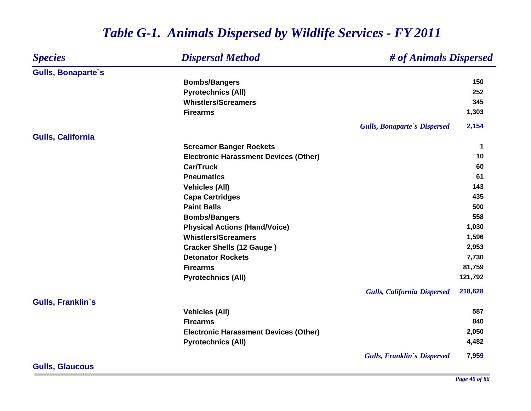#### *Species Dispersal Method # of Animals Dispersed* **Gulls, Bonaparte`s Bombs/Bangers <sup>150</sup> Pyrotechnics (All) 252 Whistlers/Screamers 345 Firearms 1,303** *Gulls, Bonaparte`s Dispersed* **2,154 Gulls, California Screamer Banger Rockets <sup>1</sup> Electronic Harassment Devices (Other) 10 Car/Truck 60 Pneumatics 61 Vehicles (All) 143 Capa Cartridges <sup>435</sup> Paint Balls 500 Bombs/Bangers <sup>558</sup> Physical Actions (Hand/Voice) 1,030 Whistlers/Screamers 1,596 Cracker Shells (12 Gauge ) 2,953 Detonator Rockets 7,730 Firearms 81,759 Pyrotechnics (All) 121,792** *Gulls, California Dispersed* **218,628 Gulls, Franklin`s Vehicles (All) 587 Firearms 840 Electronic Harassment Devices (Other) 2,050 Pyrotechnics (All) 4,482** *Gulls, Franklin`s Dispersed* **7,959**

## *Table G-1. Animals Dispersed by Wildlife Services - FY 2011*

**Gulls, Glaucous**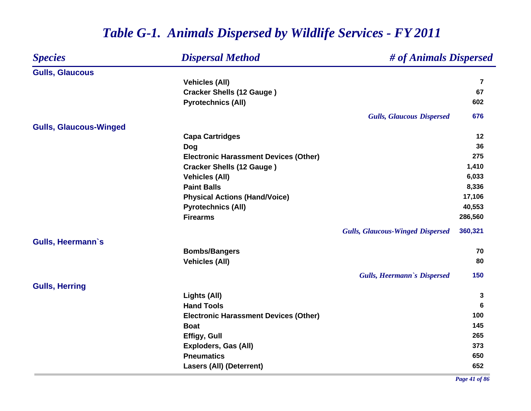#### *Species Dispersal Method # of Animals Dispersed* **Gulls, Glaucous Vehicles (All) <sup>7</sup> Cracker Shells (12 Gauge ) <sup>67</sup> Pyrotechnics (All) <sup>602</sup>** *Gulls, Glaucous Dispersed* **676 Gulls, Glaucous-Winged Capa Cartridges <sup>12</sup> Dog <sup>36</sup> Electronic Harassment Devices (Other) 275 Cracker Shells (12 Gauge ) 1,410 Vehicles (All) 6,033 Paint Balls 8,336 Physical Actions (Hand/Voice) 17,106 Pyrotechnics (All) 40,553 Firearms 286,560** *Gulls, Glaucous-Winged Dispersed* **360,321 Gulls, Heermann`s Bombs/Bangers <sup>70</sup> Vehicles (All) 80** *Gulls, Heermann`s Dispersed* **150 Gulls, Herring Lights (All) <sup>3</sup> Hand Tools 6 Electronic Harassment Devices (Other) 100 Boat 145 Effigy, Gull <sup>265</sup> Exploders, Gas (All) 373 Pneumatics650 650 Lasers (All) (Deterrent) 652**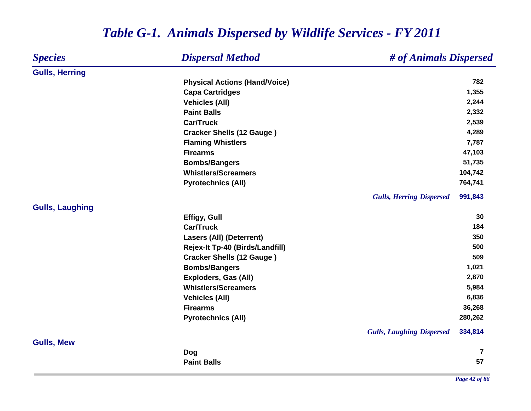| <b>Species</b>         | <b>Dispersal Method</b>              | # of Animals Dispersed                      |
|------------------------|--------------------------------------|---------------------------------------------|
| <b>Gulls, Herring</b>  |                                      |                                             |
|                        | <b>Physical Actions (Hand/Voice)</b> | 782                                         |
|                        | <b>Capa Cartridges</b>               | 1,355                                       |
|                        | <b>Vehicles (All)</b>                | 2,244                                       |
|                        | <b>Paint Balls</b>                   | 2,332                                       |
|                        | <b>Car/Truck</b>                     | 2,539                                       |
|                        | <b>Cracker Shells (12 Gauge)</b>     | 4,289                                       |
|                        | <b>Flaming Whistlers</b>             | 7,787                                       |
|                        | <b>Firearms</b>                      | 47,103                                      |
|                        | <b>Bombs/Bangers</b>                 | 51,735                                      |
|                        | <b>Whistlers/Screamers</b>           | 104,742                                     |
|                        | <b>Pyrotechnics (All)</b>            | 764,741                                     |
|                        |                                      | <b>Gulls, Herring Dispersed</b><br>991,843  |
| <b>Gulls, Laughing</b> |                                      |                                             |
|                        | <b>Effigy, Gull</b>                  | 30                                          |
|                        | <b>Car/Truck</b>                     | 184                                         |
|                        | <b>Lasers (All) (Deterrent)</b>      | 350                                         |
|                        | Rejex-It Tp-40 (Birds/Landfill)      | 500                                         |
|                        | <b>Cracker Shells (12 Gauge)</b>     | 509                                         |
|                        | <b>Bombs/Bangers</b>                 | 1,021                                       |
|                        | <b>Exploders, Gas (All)</b>          | 2,870                                       |
|                        | <b>Whistlers/Screamers</b>           | 5,984                                       |
|                        | <b>Vehicles (All)</b>                | 6,836                                       |
|                        | <b>Firearms</b>                      | 36,268                                      |
|                        | <b>Pyrotechnics (All)</b>            | 280,262                                     |
|                        |                                      | <b>Gulls, Laughing Dispersed</b><br>334,814 |
| <b>Gulls, Mew</b>      |                                      |                                             |
|                        | Dog                                  | $\overline{7}$                              |
|                        | <b>Paint Balls</b>                   | 57                                          |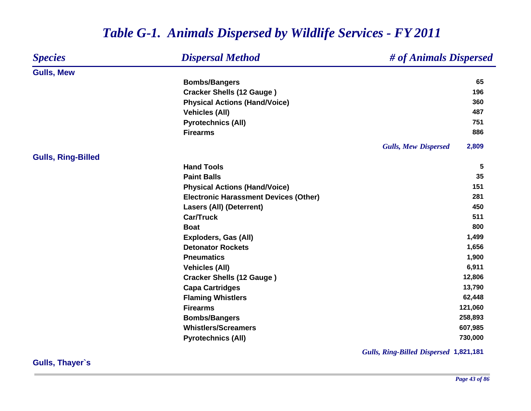#### *Species Dispersal Method # of Animals Dispersed* **Gulls, Mew Bombs/Bangers <sup>65</sup> Cracker Shells (12 Gauge ) <sup>196</sup> Physical Actions (Hand/Voice) <sup>360</sup> Vehicles (All) 487 Pyrotechnics (All) 751 Firearms 886** *Gulls, Mew Dispersed* **2,809 Gulls, Ring-Billed Hand Tools 5 Paint Balls5 35 Physical Actions (Hand/Voice) 151 Electronic Harassment Devices (Other) 281 Lasers (All) (Deterrent) 450 Car/Truck 511 Boat 800 Exploders, Gas (All) 1,499 Detonator Rockets 1,656 Pneumatics 1,900 Vehicles (All) 6,911 Cracker Shells (12 Gauge ) 12,806 Capa Cartridges 13,790 Flaming Whistlers 62,448 Firearms 121,060 Bombs/Bangers 258,893 Whistlers/Screamers 607,985 Pyrotechnics (All) 730,000**

## *Table G-1. Animals Dispersed by Wildlife Services - FY 2011*

*Gulls, Ring-Billed Dispersed* **1,821,181**

**Gulls, Thayer`s**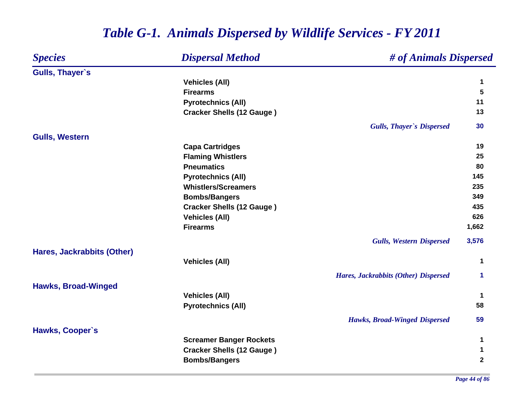### *Species Dispersal Method # of Animals Dispersed* **Gulls, Thayer`s Vehicles (All) <sup>1</sup> Firearms 5 Pyrotechnics (All) <sup>11</sup> Cracker Shells (12 Gauge ) <sup>13</sup>** *Gulls, Thayer`s Dispersed* **30 Gulls, Western Capa Cartridges <sup>19</sup> Flaming Whistlers <sup>25</sup> Pneumatics800 Pyrotechnics (All) 145 Whistlers/Screamers 235 Bombs/Bangers <sup>349</sup> Cracker Shells (12 Gauge ) <sup>435</sup> Vehicles (All) 626 Firearms 1,662** *Gulls, Western Dispersed* **3,576 Hares, Jackrabbits (Other) Vehicles (All) <sup>1</sup>** *Hares, Jackrabbits (Other) Dispersed* **1 Hawks, Broad-Winged Vehicles (All) <sup>1</sup> Pyrotechnics (All) 58** *Hawks, Broad-Winged Dispersed* **59 Hawks, Cooper`s Screamer Banger Rockets <sup>1</sup> Cracker Shells (12 Gauge ) <sup>1</sup> Bombs/Bangers <sup>2</sup>**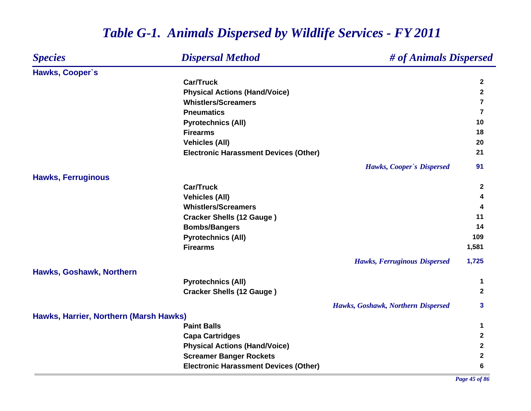#### *Species Dispersal Method # of Animals Dispersed* **Hawks, Cooper`s Car/Truck 2 Physical Actions (Hand/Voice) <sup>2</sup> Whistlers/Screamers 7 Pneumatics 7 Pyrotechnics (All) <sup>10</sup> Firearms 18 Vehicles (All) 20 Electronic Harassment Devices (Other) <sup>21</sup>** *Hawks, Cooper`s Dispersed* **91 Hawks, Ferruginous Car/Truck 2 Vehicles (All) <sup>4</sup> Whistlers/Screamers 4 Cracker Shells (12 Gauge ) <sup>11</sup> Bombs/Bangers <sup>14</sup> Pyrotechnics (All) <sup>109</sup> Firearms 1,581** *Hawks, Ferruginous Dispersed* **1,725 Hawks, Goshawk, Northern Pyrotechnics (All) <sup>1</sup> Cracker Shells (12 Gauge ) <sup>2</sup>** *Hawks, Goshawk, Northern Dispersed* **3 Hawks, Harrier, Northern (Marsh Hawks) Paint Balls 1 Capa Cartridges <sup>2</sup> Physical Actions (Hand/Voice) <sup>2</sup> Screamer Banger Rockets <sup>2</sup> Electronic Harassment Devices (Other) 6**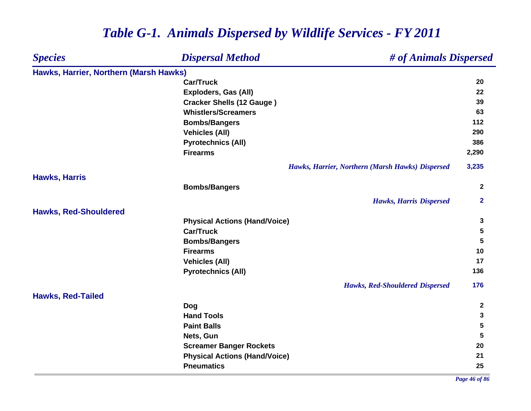| <b>Species</b>                         | <b>Dispersal Method</b>              | # of Animals Dispersed                           |                         |
|----------------------------------------|--------------------------------------|--------------------------------------------------|-------------------------|
| Hawks, Harrier, Northern (Marsh Hawks) |                                      |                                                  |                         |
|                                        | <b>Car/Truck</b>                     |                                                  | 20                      |
|                                        | <b>Exploders, Gas (All)</b>          |                                                  | 22                      |
|                                        | <b>Cracker Shells (12 Gauge)</b>     |                                                  | 39                      |
|                                        | <b>Whistlers/Screamers</b>           |                                                  | 63                      |
|                                        | <b>Bombs/Bangers</b>                 |                                                  | 112                     |
|                                        | <b>Vehicles (All)</b>                |                                                  | 290                     |
|                                        | <b>Pyrotechnics (All)</b>            |                                                  | 386                     |
|                                        | <b>Firearms</b>                      |                                                  | 2,290                   |
|                                        |                                      | Hawks, Harrier, Northern (Marsh Hawks) Dispersed | 3,235                   |
| <b>Hawks, Harris</b>                   |                                      |                                                  |                         |
|                                        | <b>Bombs/Bangers</b>                 |                                                  | $\mathbf{2}$            |
|                                        |                                      | <b>Hawks, Harris Dispersed</b>                   | $\overline{\mathbf{2}}$ |
| <b>Hawks, Red-Shouldered</b>           |                                      |                                                  |                         |
|                                        | <b>Physical Actions (Hand/Voice)</b> |                                                  | 3                       |
|                                        | <b>Car/Truck</b>                     |                                                  | 5                       |
|                                        | <b>Bombs/Bangers</b>                 |                                                  | 5                       |
|                                        | <b>Firearms</b>                      |                                                  | 10                      |
|                                        | <b>Vehicles (All)</b>                |                                                  | 17                      |
|                                        | <b>Pyrotechnics (All)</b>            |                                                  | 136                     |
|                                        |                                      | <b>Hawks, Red-Shouldered Dispersed</b>           | 176                     |
| <b>Hawks, Red-Tailed</b>               |                                      |                                                  |                         |
|                                        | Dog                                  |                                                  | $\boldsymbol{2}$        |
|                                        | <b>Hand Tools</b>                    |                                                  | 3                       |
|                                        | <b>Paint Balls</b>                   |                                                  | 5                       |
|                                        | Nets, Gun                            |                                                  | 5                       |
|                                        | <b>Screamer Banger Rockets</b>       |                                                  | 20                      |
|                                        | <b>Physical Actions (Hand/Voice)</b> |                                                  | 21                      |
|                                        | <b>Pneumatics</b>                    |                                                  | 25                      |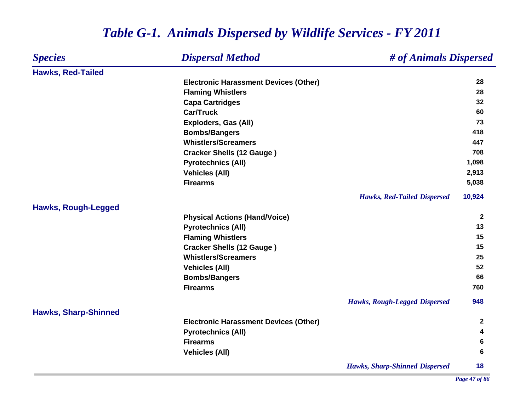#### *Species Dispersal Method # of Animals Dispersed* **Hawks, Red-Tailed Electronic Harassment Devices (Other) 28 Flaming Whistlers <sup>28</sup> Capa Cartridges <sup>32</sup> Car/Truck 60 Exploders, Gas (All) 73 Bombs/Bangers <sup>418</sup> Whistlers/Screamers 447 Cracker Shells (12 Gauge ) <sup>708</sup> Pyrotechnics (All) 1,098 Vehicles (All) 2,913 Firearms 5,038** *Hawks, Red-Tailed Dispersed* **10,924 Hawks, Rough-Legged Physical Actions (Hand/Voice) <sup>2</sup> Pyrotechnics (All) <sup>13</sup> Flaming Whistlers <sup>15</sup> Cracker Shells (12 Gauge ) <sup>15</sup> Whistlers/Screamers25 25 Vehicles (All) 52 Bombs/Bangers <sup>66</sup> Firearms 760** *Hawks, Rough-Legged Dispersed* **948 Hawks, Sharp-Shinned Electronic Harassment Devices (Other) <sup>2</sup> Pyrotechnics (All) <sup>4</sup> Firearms 6 Vehicles (All) 6** *Hawks, Sharp-Shinned Dispersed* **18**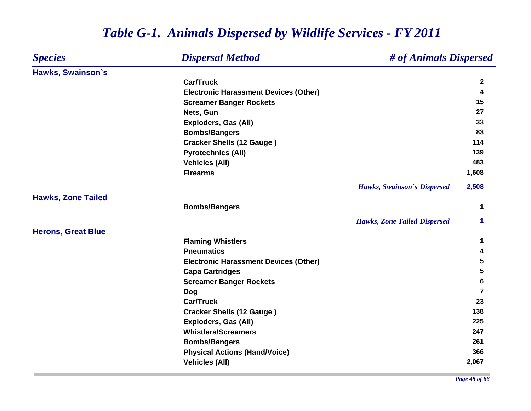#### *Species Dispersal Method # of Animals Dispersed* **Hawks, Swainson`s Car/Truck 2 Electronic Harassment Devices (Other) <sup>4</sup> Screamer Banger Rockets <sup>15</sup> Nets, Gun 27 Exploders, Gas (All) 33 Bombs/Bangers <sup>83</sup> Cracker Shells (12 Gauge ) <sup>114</sup> Pyrotechnics (All) <sup>139</sup> Vehicles (All) 483 Firearms 1,608** *Hawks, Swainson`s Dispersed* **2,508 Hawks, Zone Tailed Bombs/Bangers <sup>1</sup>** *Hawks, Zone Tailed Dispersed* **1 Herons, Great Blue Flaming Whistlers <sup>1</sup> Pneumatics 4 Electronic Harassment Devices (Other) 5 Capa Cartridges <sup>5</sup> Screamer Banger Rockets <sup>6</sup> Dog <sup>7</sup> Car/Truck 23 Cracker Shells (12 Gauge ) <sup>138</sup> Exploders, Gas (All) 225 Whistlers/Screamers247 247 Bombs/Bangers <sup>261</sup> Physical Actions (Hand/Voice) <sup>366</sup> Vehicles (All) 2,067**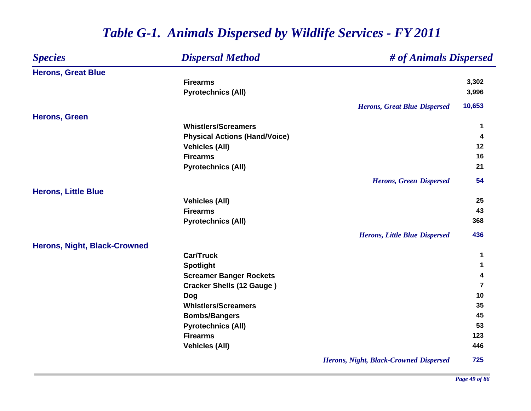| <b>Species</b>                      | <b>Dispersal Method</b>              | # of Animals Dispersed                        |             |  |
|-------------------------------------|--------------------------------------|-----------------------------------------------|-------------|--|
| <b>Herons, Great Blue</b>           |                                      |                                               |             |  |
|                                     | <b>Firearms</b>                      |                                               | 3,302       |  |
|                                     | <b>Pyrotechnics (All)</b>            |                                               | 3,996       |  |
|                                     |                                      | <b>Herons, Great Blue Dispersed</b>           | 10,653      |  |
| <b>Herons, Green</b>                |                                      |                                               |             |  |
|                                     | <b>Whistlers/Screamers</b>           |                                               | $\mathbf 1$ |  |
|                                     | <b>Physical Actions (Hand/Voice)</b> |                                               | 4           |  |
|                                     | <b>Vehicles (All)</b>                |                                               | 12          |  |
|                                     | <b>Firearms</b>                      |                                               | 16          |  |
|                                     | <b>Pyrotechnics (All)</b>            |                                               | 21          |  |
|                                     |                                      | <b>Herons, Green Dispersed</b>                | 54          |  |
| <b>Herons, Little Blue</b>          |                                      |                                               |             |  |
|                                     | <b>Vehicles (All)</b>                |                                               | 25          |  |
|                                     | <b>Firearms</b>                      |                                               | 43          |  |
|                                     | <b>Pyrotechnics (All)</b>            |                                               | 368         |  |
|                                     |                                      | <b>Herons, Little Blue Dispersed</b>          | 436         |  |
| <b>Herons, Night, Black-Crowned</b> |                                      |                                               |             |  |
|                                     | <b>Car/Truck</b>                     |                                               | $\mathbf 1$ |  |
|                                     | <b>Spotlight</b>                     |                                               | 1           |  |
|                                     | <b>Screamer Banger Rockets</b>       |                                               | 4           |  |
|                                     | <b>Cracker Shells (12 Gauge)</b>     |                                               | 7           |  |
|                                     | <b>Dog</b>                           |                                               | 10          |  |
|                                     | <b>Whistlers/Screamers</b>           |                                               | 35          |  |
|                                     | <b>Bombs/Bangers</b>                 |                                               | 45          |  |
|                                     | <b>Pyrotechnics (All)</b>            |                                               | 53          |  |
|                                     | <b>Firearms</b>                      |                                               | 123         |  |
|                                     | <b>Vehicles (All)</b>                |                                               | 446         |  |
|                                     |                                      | <b>Herons, Night, Black-Crowned Dispersed</b> | 725         |  |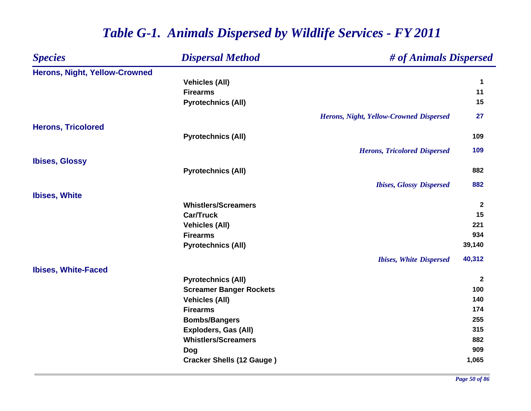#### *Species Dispersal Method # of Animals Dispersed* **Herons, Night, Yellow-Crowned Vehicles (All) <sup>1</sup> Firearms 11 Pyrotechnics (All) 15** *Herons, Night, Yellow-Crowned Dispersed* **27 Herons, Tricolored Pyrotechnics (All) <sup>109</sup>** *Herons, Tricolored Dispersed* **109 Ibises, Glossy Pyrotechnics (All) <sup>882</sup>** *Ibises, Glossy Dispersed* **882 Ibises, White Whistlers/Screamers 2 Car/Truck 15 Vehicles (All) <sup>221</sup> Firearms 934 Pyrotechnics (All) 39,140** *Ibises, White Dispersed* **40,312 Ibises, White-Faced Pyrotechnics (All) <sup>2</sup> Screamer Banger Rockets <sup>100</sup> Vehicles (All) 140 Firearms 174 Bombs/Bangers <sup>255</sup> Exploders, Gas (All) 315 Whistlers/Screamers 882 Dog <sup>909</sup> Cracker Shells (12 Gauge ) 1,065**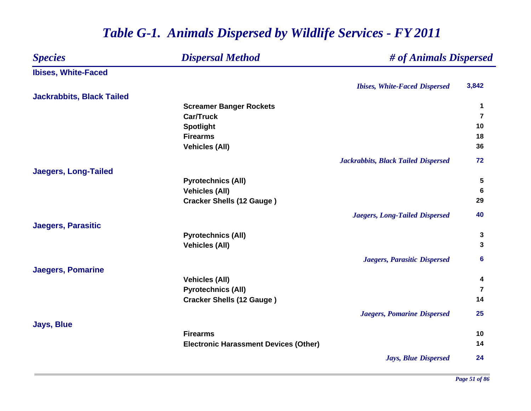### *Species Dispersal Method # of Animals Dispersed* **Ibises, White-Faced** *Ibises, White-Faced Dispersed* **3,842 Jackrabbits, Black Tailed Screamer Banger Rockets <sup>1</sup> Car/Truck 7 Spotlight <sup>10</sup> Firearms 18 Vehicles (All) 36** *Jackrabbits, Black Tailed Dispersed* **72 Jaegers, Long-Tailed Pyrotechnics (All) 5 Vehicles (All) 6 Cracker Shells (12 Gauge ) <sup>29</sup>** *Jaegers, Long-Tailed Dispersed* **40 Jaegers, Parasitic Pyrotechnics (All) <sup>3</sup> Vehicles (All) 3** *Jaegers, Parasitic Dispersed* **6 Jaegers, Pomarine Vehicles (All) <sup>4</sup> Pyrotechnics (All) <sup>7</sup> Cracker Shells (12 Gauge ) <sup>14</sup>** *Jaegers, Pomarine Dispersed* **25 Jays, Blue Firearms10 Electronic Harassment Devices (Other) <sup>14</sup>** *Jays, Blue Dispersed* **24**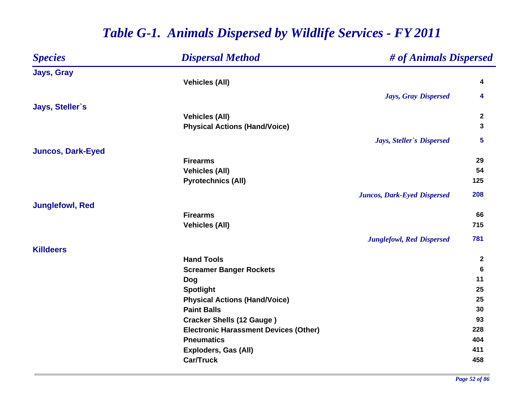#### *Species Dispersal Method # of Animals Dispersed* **Jays, Gray Vehicles (All) <sup>4</sup>** *Jays, Gray Dispersed* **4 Jays, Steller`s Vehicles (All) <sup>2</sup> Physical Actions (Hand/Voice) <sup>3</sup>** *Jays, Steller`s Dispersed* **5 Juncos, Dark-Eyed Firearms29 29 Vehicles (All) 54 Pyrotechnics (All) 125** *Juncos, Dark-Eyed Dispersed* **208 Junglefowl, Red Firearms 66 Vehicles (All) 715** *Junglefowl, Red Dispersed* **781 KilldeersHand Tools 2 Screamer Banger Rockets <sup>6</sup> Dog <sup>11</sup> Spotlight <sup>25</sup> Physical Actions (Hand/Voice) 25 Paint Balls5 30 Cracker Shells (12 Gauge ) <sup>93</sup> Electronic Harassment Devices (Other) 228 Pneumatics 404 Exploders, Gas (All) <sup>411</sup> Car/Truck458**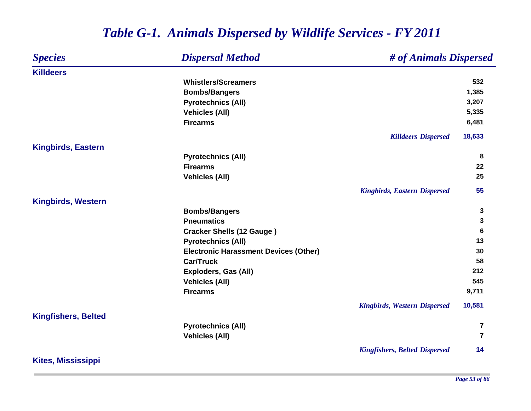#### *Species Dispersal Method # of Animals Dispersed* **KilldeersWhistlers/Screamers 532 Bombs/Bangers 1,385 Pyrotechnics (All) 3,207 Vehicles (All) 5,335 Firearms 6,481** *Killdeers Dispersed* **18,633 Kingbirds, Eastern Pyrotechnics (All) <sup>8</sup> Firearms 22 Vehicles (All) 25** *Kingbirds, Eastern Dispersed* **55 Kingbirds, Western Bombs/Bangers <sup>3</sup> Pneumatics 3 Cracker Shells (12 Gauge ) <sup>6</sup> Pyrotechnics (All) <sup>13</sup> Electronic Harassment Devices (Other) 30 Car/Truck 58 Exploders, Gas (All) <sup>212</sup> Vehicles (All) 545 Firearms 9,711** *Kingbirds, Western Dispersed* **10,581 Kingfishers, Belted Pyrotechnics (All) <sup>7</sup> Vehicles (All) <sup>7</sup>** *Kingfishers, Belted Dispersed* **14 Kites, Mississippi**

## *Table G-1. Animals Dispersed by Wildlife Services - FY 2011*

*Page 53 of 86*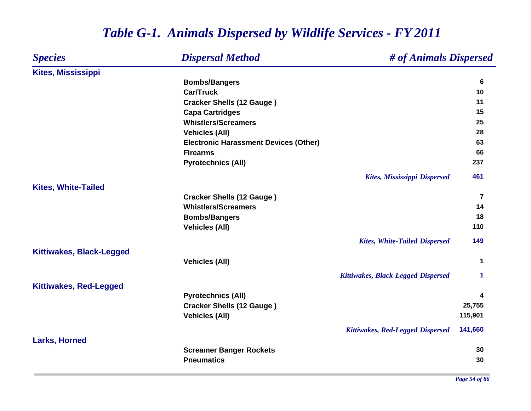### *Species Dispersal Method # of Animals Dispersed* **Kites, Mississippi Bombs/Bangers <sup>6</sup> Car/Truck10 Cracker Shells (12 Gauge ) <sup>11</sup> Capa Cartridges <sup>15</sup> Whistlers/Screamers25 25 Vehicles (All) 28 Electronic Harassment Devices (Other) 63 Firearms 66 Pyrotechnics (All) <sup>237</sup>** *Kites, Mississippi Dispersed* **461 Kites, White-Tailed Cracker Shells (12 Gauge ) <sup>7</sup> Whistlers/Screamers 14 Bombs/Bangers <sup>18</sup> Vehicles (All) 110** *Kites, White-Tailed Dispersed* **149 Kittiwakes, Black-Legged Vehicles (All) <sup>1</sup>** *Kittiwakes, Black-Legged Dispersed* **1 Kittiwakes, Red-Legged Pyrotechnics (All) <sup>4</sup> Cracker Shells (12 Gauge ) 25,755 Vehicles (All) 115,901** *Kittiwakes, Red-Legged Dispersed* **141,660 Larks, Horned Screamer Banger Rockets <sup>30</sup> Pneumatics5 30**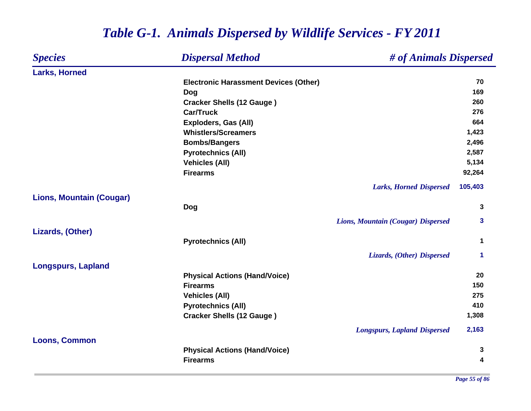### *Species Dispersal Method # of Animals Dispersed* **Larks, Horned Electronic Harassment Devices (Other) 70 Dog <sup>169</sup> Cracker Shells (12 Gauge ) <sup>260</sup> Car/Truck 276 Exploders, Gas (All) 664 Whistlers/Screamers 1,423 Bombs/Bangers 2,496 Pyrotechnics (All) 2,587 Vehicles (All) 5,134 Firearms 92,264** *Larks, Horned Dispersed* **105,403 Lions, Mountain (Cougar) Dog <sup>3</sup>** *Lions, Mountain (Cougar) Dispersed* **3 Lizards, (Other) Pyrotechnics (All) <sup>1</sup>** *Lizards, (Other) Dispersed* **1 Longspurs, Lapland Physical Actions (Hand/Voice) <sup>20</sup> Firearms150 150 Vehicles (All) 275 Pyrotechnics (All) <sup>410</sup> Cracker Shells (12 Gauge ) 1,308** *Longspurs, Lapland Dispersed* **2,163 Loons, Common Physical Actions (Hand/Voice) <sup>3</sup> Firearms4**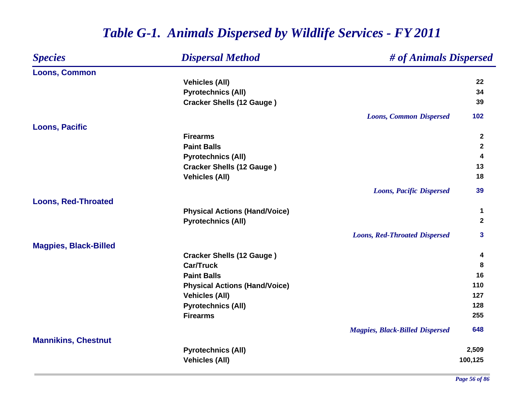### *Species Dispersal Method # of Animals Dispersed* **Loons, Common Vehicles (All) <sup>22</sup> Pyrotechnics (All) <sup>34</sup> Cracker Shells (12 Gauge ) <sup>39</sup>** *Loons, Common Dispersed* **102 Loons, Pacific Firearms 2 Paint Balls 2 Pyrotechnics (All) <sup>4</sup> Cracker Shells (12 Gauge ) <sup>13</sup> Vehicles (All) 18** *Loons, Pacific Dispersed* **39 Loons, Red-Throated Physical Actions (Hand/Voice) <sup>1</sup> Pyrotechnics (All) <sup>2</sup>** *Loons, Red-Throated Dispersed* **3 Magpies, Black-Billed Cracker Shells (12 Gauge ) <sup>4</sup> Car/Truck 8 Paint Balls 16 Physical Actions (Hand/Voice) <sup>110</sup> Vehicles (All) <sup>127</sup> Pyrotechnics (All) <sup>128</sup> Firearms 255** *Magpies, Black-Billed Dispersed* **648 Mannikins, Chestnut Pyrotechnics (All) 2,509 Vehicles (All) 100,125**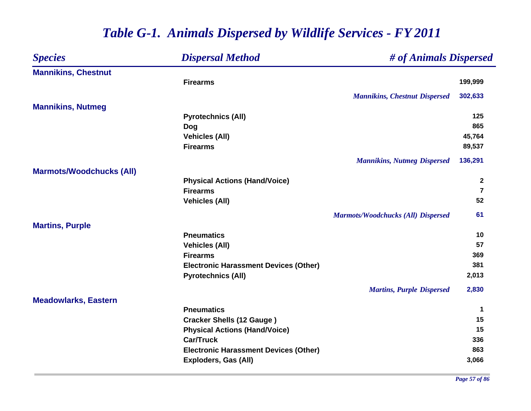| <b>Species</b>                  | <b>Dispersal Method</b>                      | # of Animals Dispersed                    |                  |
|---------------------------------|----------------------------------------------|-------------------------------------------|------------------|
| <b>Mannikins, Chestnut</b>      |                                              |                                           |                  |
|                                 | <b>Firearms</b>                              |                                           | 199,999          |
|                                 |                                              | <b>Mannikins, Chestnut Dispersed</b>      | 302,633          |
| <b>Mannikins, Nutmeg</b>        |                                              |                                           |                  |
|                                 | <b>Pyrotechnics (All)</b>                    |                                           | 125              |
|                                 | Dog                                          |                                           | 865              |
|                                 | <b>Vehicles (All)</b>                        |                                           | 45,764           |
|                                 | <b>Firearms</b>                              |                                           | 89,537           |
|                                 |                                              | <b>Mannikins, Nutmeg Dispersed</b>        | 136,291          |
| <b>Marmots/Woodchucks (All)</b> |                                              |                                           |                  |
|                                 | <b>Physical Actions (Hand/Voice)</b>         |                                           | $\boldsymbol{2}$ |
|                                 | <b>Firearms</b>                              |                                           | $\overline{7}$   |
|                                 | <b>Vehicles (All)</b>                        |                                           | 52               |
|                                 |                                              | <b>Marmots/Woodchucks (All) Dispersed</b> | 61               |
| <b>Martins, Purple</b>          |                                              |                                           |                  |
|                                 | <b>Pneumatics</b>                            |                                           | 10               |
|                                 | <b>Vehicles (All)</b>                        |                                           | 57               |
|                                 | <b>Firearms</b>                              |                                           | 369              |
|                                 | <b>Electronic Harassment Devices (Other)</b> |                                           | 381              |
|                                 | <b>Pyrotechnics (All)</b>                    |                                           | 2,013            |
|                                 |                                              | <b>Martins, Purple Dispersed</b>          | 2,830            |
| <b>Meadowlarks, Eastern</b>     |                                              |                                           |                  |
|                                 | <b>Pneumatics</b>                            |                                           | 1                |
|                                 | <b>Cracker Shells (12 Gauge)</b>             |                                           | 15               |
|                                 | <b>Physical Actions (Hand/Voice)</b>         |                                           | 15               |
|                                 | <b>Car/Truck</b>                             |                                           | 336              |
|                                 | <b>Electronic Harassment Devices (Other)</b> |                                           | 863              |
|                                 | <b>Exploders, Gas (All)</b>                  |                                           | 3,066            |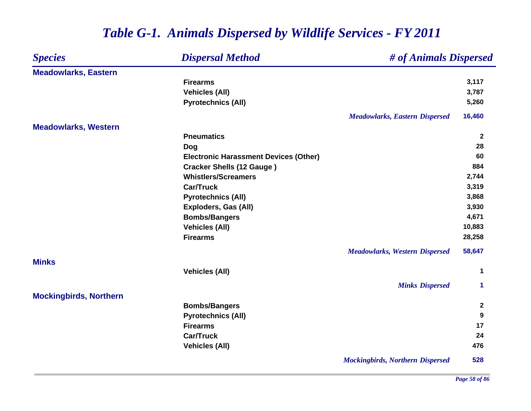#### *Species Dispersal Method # of Animals Dispersed* **Meadowlarks, Eastern Firearms 3,117 Vehicles (All) 3,787 Pyrotechnics (All) 5,260** *Meadowlarks, Eastern Dispersed* **16,460 Meadowlarks, Western Pneumatics 2 Dog <sup>28</sup> Electronic Harassment Devices (Other) 60 Cracker Shells (12 Gauge ) <sup>884</sup> Whistlers/Screamers 2,744 Car/Truckk** 3,319 **Pyrotechnics (All) 3,868 Exploders, Gas (All) 3,930 Bombs/Bangers 4,671 Vehicles (All) 10,883 Firearms 28,258** *Meadowlarks, Western Dispersed* **58,647 MinksVehicles (All) <sup>1</sup>** *Minks Dispersed* **1 Mockingbirds, Northern Bombs/Bangers <sup>2</sup> Pyrotechnics (All) <sup>9</sup> Firearms 17 Car/Truck 24 Vehicles (All) 476** *Mockingbirds, Northern Dispersed* **528**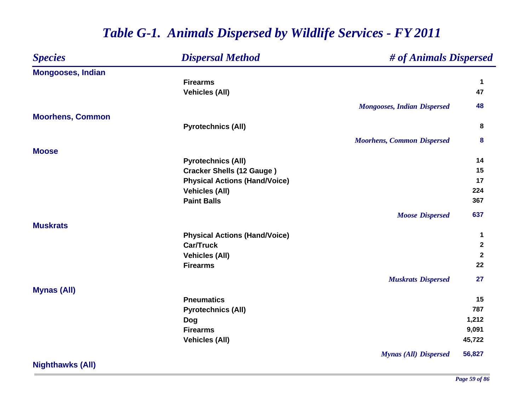| <b>Species</b>           | <b>Dispersal Method</b>              | # of Animals Dispersed             |                      |
|--------------------------|--------------------------------------|------------------------------------|----------------------|
| <b>Mongooses, Indian</b> |                                      |                                    |                      |
|                          | <b>Firearms</b>                      |                                    | $\mathbf 1$          |
|                          | <b>Vehicles (All)</b>                |                                    | 47                   |
|                          |                                      | <b>Mongooses, Indian Dispersed</b> | 48                   |
| <b>Moorhens, Common</b>  |                                      |                                    |                      |
|                          | <b>Pyrotechnics (All)</b>            |                                    | 8                    |
|                          |                                      | <b>Moorhens, Common Dispersed</b>  | 8                    |
| <b>Moose</b>             |                                      |                                    |                      |
|                          | <b>Pyrotechnics (All)</b>            |                                    | 14                   |
|                          | <b>Cracker Shells (12 Gauge)</b>     |                                    | 15                   |
|                          | <b>Physical Actions (Hand/Voice)</b> |                                    | 17                   |
|                          | <b>Vehicles (All)</b>                |                                    | 224                  |
|                          | <b>Paint Balls</b>                   |                                    | 367                  |
|                          |                                      | <b>Moose Dispersed</b>             | 637                  |
| <b>Muskrats</b>          |                                      |                                    |                      |
|                          | <b>Physical Actions (Hand/Voice)</b> |                                    | $\blacktriangleleft$ |
|                          | <b>Car/Truck</b>                     |                                    | $\mathbf{2}$         |
|                          | <b>Vehicles (All)</b>                |                                    | $\mathbf{2}$         |
|                          | <b>Firearms</b>                      |                                    | 22                   |
|                          |                                      | <b>Muskrats Dispersed</b>          | 27                   |
| <b>Mynas (All)</b>       |                                      |                                    |                      |
|                          | <b>Pneumatics</b>                    |                                    | 15                   |
|                          | <b>Pyrotechnics (All)</b>            |                                    | 787                  |
|                          | <b>Dog</b>                           |                                    | 1,212                |
|                          | <b>Firearms</b>                      |                                    | 9,091                |
|                          | <b>Vehicles (All)</b>                |                                    | 45,722               |
|                          |                                      | <b>Mynas (All) Dispersed</b>       | 56,827               |

**Nighthawks (All)**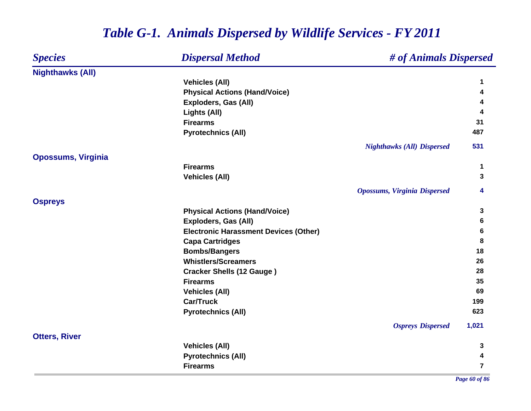#### *Species Dispersal Method # of Animals Dispersed* **Nighthawks (All) Vehicles (All) <sup>1</sup> Physical Actions (Hand/Voice) <sup>4</sup> Exploders, Gas (All) <sup>4</sup> Lights (All) <sup>4</sup> Firearms5 31 Pyrotechnics (All) <sup>487</sup>** *Nighthawks (All) Dispersed* **531 Opossums, Virginia Firearms 1 Vehicles (All) 3** *Opossums, Virginia Dispersed* **4 Ospreys Physical Actions (Hand/Voice) <sup>3</sup> Exploders, Gas (All) 6 Electronic Harassment Devices (Other) 6 Capa Cartridges <sup>8</sup> Bombs/Bangers <sup>18</sup> Whistlers/Screamers26 26 2010 Cracker Shells (12 Gauge ) <sup>28</sup> Firearms 35 Vehicles (All) 69 Car/Truck1998 - 1998 - 1999 - 1999 - 1999 - 1999 - 1999 - 1999 - 1999 - 1999 - 1999 - 1999 - 1999 - 1999 - 1999 - 1999 Pyrotechnics (All) <sup>623</sup>** *Ospreys Dispersed* **1,021 Otters, River Vehicles (All) 3 Pyrotechnics (All) <sup>4</sup> Firearms7**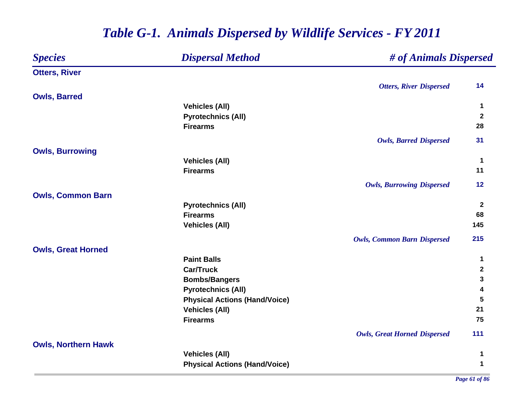| <b>Species</b>             | <b>Dispersal Method</b>              | # of Animals Dispersed              |                |
|----------------------------|--------------------------------------|-------------------------------------|----------------|
| <b>Otters, River</b>       |                                      |                                     |                |
|                            |                                      | <b>Otters, River Dispersed</b>      | 14             |
| <b>Owls, Barred</b>        |                                      |                                     |                |
|                            | <b>Vehicles (All)</b>                |                                     | 1              |
|                            | <b>Pyrotechnics (All)</b>            |                                     | $\overline{2}$ |
|                            | <b>Firearms</b>                      |                                     | 28             |
|                            |                                      | <b>Owls, Barred Dispersed</b>       | 31             |
| <b>Owls, Burrowing</b>     |                                      |                                     |                |
|                            | <b>Vehicles (All)</b>                |                                     | 1              |
|                            | <b>Firearms</b>                      |                                     | 11             |
|                            |                                      | <b>Owls, Burrowing Dispersed</b>    | 12             |
| <b>Owls, Common Barn</b>   |                                      |                                     |                |
|                            | <b>Pyrotechnics (All)</b>            |                                     | $\mathbf{2}$   |
|                            | <b>Firearms</b>                      |                                     | 68             |
|                            | <b>Vehicles (All)</b>                |                                     | 145            |
|                            |                                      | <b>Owls, Common Barn Dispersed</b>  | 215            |
| <b>Owls, Great Horned</b>  |                                      |                                     |                |
|                            | <b>Paint Balls</b>                   |                                     | $\mathbf 1$    |
|                            | <b>Car/Truck</b>                     |                                     | $\mathbf{2}$   |
|                            | <b>Bombs/Bangers</b>                 |                                     | 3              |
|                            | <b>Pyrotechnics (All)</b>            |                                     | 4              |
|                            | <b>Physical Actions (Hand/Voice)</b> |                                     | 5              |
|                            | <b>Vehicles (All)</b>                |                                     | 21             |
|                            | <b>Firearms</b>                      |                                     | 75             |
|                            |                                      | <b>Owls, Great Horned Dispersed</b> | 111            |
| <b>Owls, Northern Hawk</b> |                                      |                                     |                |
|                            | <b>Vehicles (All)</b>                |                                     | 1              |
|                            | <b>Physical Actions (Hand/Voice)</b> |                                     | $\mathbf 1$    |

*Page 61 of 86*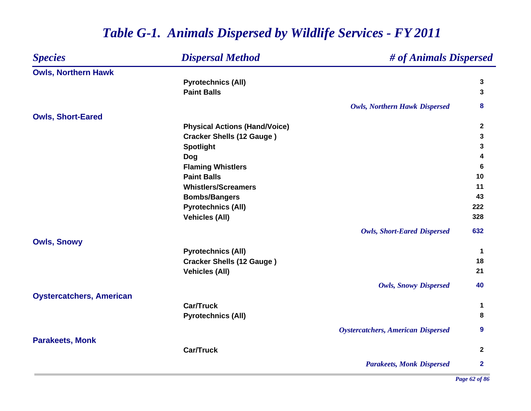### *Species Dispersal Method # of Animals Dispersed* **Owls, Northern Hawk Pyrotechnics (All) <sup>3</sup> Paint Balls 3** *Owls, Northern Hawk Dispersed* **8 Owls, Short-Eared Physical Actions (Hand/Voice) <sup>2</sup> Cracker Shells (12 Gauge ) <sup>3</sup> Spotlight <sup>3</sup> Dog <sup>4</sup> Flaming Whistlers <sup>6</sup> Paint Balls10 Whistlers/Screamers 11 Bombs/Bangers <sup>43</sup> Pyrotechnics (All) <sup>222</sup> Vehicles (All) 328** *Owls, Short-Eared Dispersed* **632 Owls, Snowy Pyrotechnics (All) <sup>1</sup> Cracker Shells (12 Gauge ) <sup>18</sup> Vehicles (All) <sup>21</sup>** *Owls, Snowy Dispersed* **40 Oystercatchers, American Car/Truck 1 Pyrotechnics (All) <sup>8</sup>** *Oystercatchers, American Dispersed* **9 Parakeets, Monk Car/Truck 2** *Parakeets, Monk Dispersed* **2**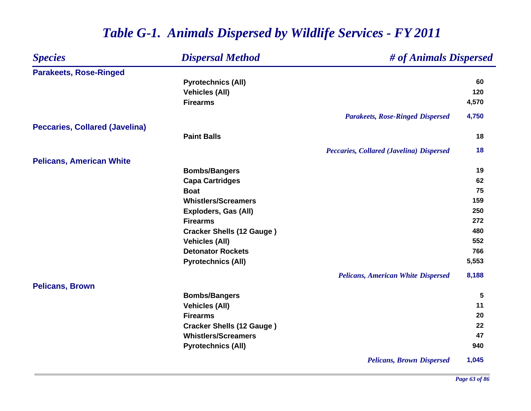#### *Species Dispersal Method # of Animals Dispersed* **Parakeets, Rose-Ringed Pyrotechnics (All) <sup>60</sup> Vehicles (All) 120 Firearms 4,570** *Parakeets, Rose-Ringed Dispersed* **4,750 Peccaries, Collared (Javelina) Paint Balls 18** *Peccaries, Collared (Javelina) Dispersed* **18 Pelicans, American White Bombs/Bangers <sup>19</sup> Capa Cartridges <sup>62</sup> Boat 75 Whistlers/Screamers159 Exploders, Gas (All) 250 Firearms 272 Cracker Shells (12 Gauge ) <sup>480</sup> Vehicles (All) 552 Detonator Rockets 766 Pyrotechnics (All) 5,553** *Pelicans, American White Dispersed* **8,188 Pelicans, Brown Bombs/Bangers <sup>5</sup> Vehicles (All) <sup>11</sup> Firearms 20 Cracker Shells (12 Gauge ) <sup>22</sup> Whistlers/Screamers 47 Pyrotechnics (All) <sup>940</sup>** *Pelicans, Brown Dispersed* **1,045**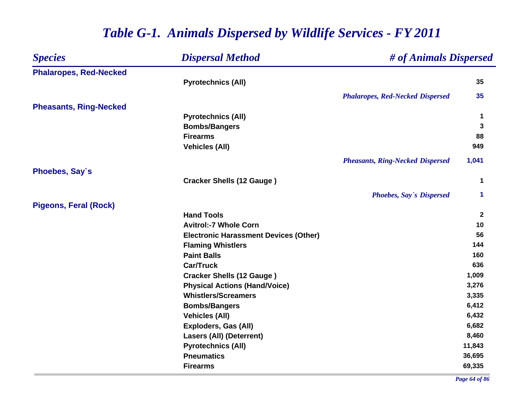| <b>Species</b>                | <b>Dispersal Method</b>                      | # of Animals Dispersed                  |              |
|-------------------------------|----------------------------------------------|-----------------------------------------|--------------|
| <b>Phalaropes, Red-Necked</b> |                                              |                                         |              |
|                               | <b>Pyrotechnics (All)</b>                    |                                         | 35           |
|                               |                                              | <b>Phalaropes, Red-Necked Dispersed</b> | 35           |
| <b>Pheasants, Ring-Necked</b> |                                              |                                         |              |
|                               | <b>Pyrotechnics (All)</b>                    |                                         | 1            |
|                               | <b>Bombs/Bangers</b>                         |                                         | 3            |
|                               | <b>Firearms</b>                              |                                         | 88           |
|                               | <b>Vehicles (All)</b>                        |                                         | 949          |
|                               |                                              | <b>Pheasants, Ring-Necked Dispersed</b> | 1,041        |
| Phoebes, Say's                |                                              |                                         |              |
|                               | <b>Cracker Shells (12 Gauge)</b>             |                                         | 1            |
|                               |                                              | <b>Phoebes, Say's Dispersed</b>         | 1            |
| <b>Pigeons, Feral (Rock)</b>  |                                              |                                         |              |
|                               | <b>Hand Tools</b>                            |                                         | $\mathbf{2}$ |
|                               | <b>Avitrol:-7 Whole Corn</b>                 |                                         | 10           |
|                               | <b>Electronic Harassment Devices (Other)</b> |                                         | 56           |
|                               | <b>Flaming Whistlers</b>                     |                                         | 144          |
|                               | <b>Paint Balls</b>                           |                                         | 160          |
|                               | <b>Car/Truck</b>                             |                                         | 636          |
|                               | <b>Cracker Shells (12 Gauge)</b>             |                                         | 1,009        |
|                               | <b>Physical Actions (Hand/Voice)</b>         |                                         | 3,276        |
|                               | <b>Whistlers/Screamers</b>                   |                                         | 3,335        |
|                               | <b>Bombs/Bangers</b>                         |                                         | 6,412        |
|                               | <b>Vehicles (All)</b>                        |                                         | 6,432        |
|                               | <b>Exploders, Gas (All)</b>                  |                                         | 6,682        |
|                               | <b>Lasers (All) (Deterrent)</b>              |                                         | 8,460        |
|                               | <b>Pyrotechnics (All)</b>                    |                                         | 11,843       |
|                               | <b>Pneumatics</b>                            |                                         | 36,695       |
|                               | <b>Firearms</b>                              |                                         | 69,335       |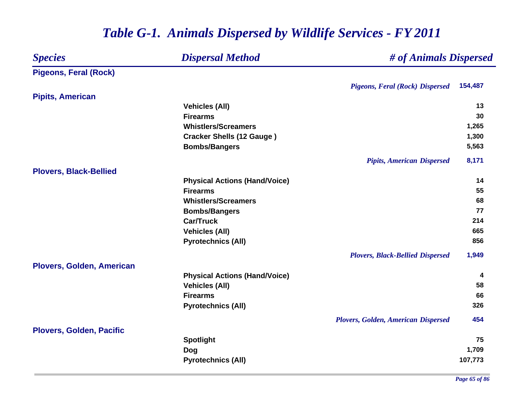#### *Species Dispersal Method # of Animals Dispersed* **Pigeons, Feral (Rock)** *Pigeons, Feral (Rock) Dispersed* **154,487 Pipits, American Vehicles (All) 13 Firearms5** 30 **Whistlers/Screamers 1,265 Cracker Shells (12 Gauge ) 1,300 Bombs/Bangers 5,563** *Pipits, American Dispersed* **8,171 Plovers, Black-Bellied Physical Actions (Hand/Voice) <sup>14</sup> Firearms 55 Whistlers/Screamers 68 Bombs/Bangers <sup>77</sup> Car/Truck 214 Vehicles (All) 665 Pyrotechnics (All) 856** *Plovers, Black-Bellied Dispersed* **1,949 Plovers, Golden, American Physical Actions (Hand/Voice) <sup>4</sup> Vehicles (All) 58 Firearms 66 Pyrotechnics (All) <sup>326</sup>** *Plovers, Golden, American Dispersed* **454 Plovers, Golden, Pacific Spotlight <sup>75</sup> Dog 1,709 Pyrotechnics (All) 107,773**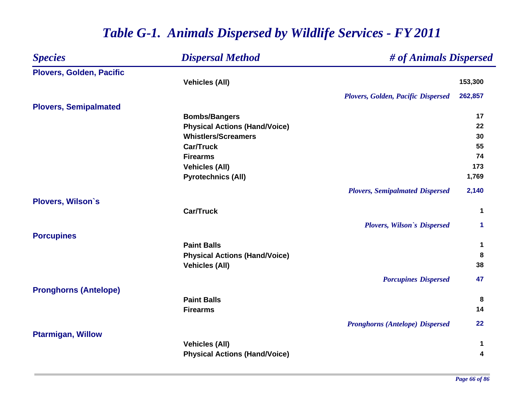| <b>Species</b>                  | <b>Dispersal Method</b>              | # of Animals Dispersed                    |         |
|---------------------------------|--------------------------------------|-------------------------------------------|---------|
| <b>Plovers, Golden, Pacific</b> |                                      |                                           |         |
|                                 | <b>Vehicles (All)</b>                |                                           | 153,300 |
|                                 |                                      | <b>Plovers, Golden, Pacific Dispersed</b> | 262,857 |
| <b>Plovers, Semipalmated</b>    |                                      |                                           |         |
|                                 | <b>Bombs/Bangers</b>                 |                                           | 17      |
|                                 | <b>Physical Actions (Hand/Voice)</b> |                                           | 22      |
|                                 | <b>Whistlers/Screamers</b>           |                                           | 30      |
|                                 | <b>Car/Truck</b>                     |                                           | 55      |
|                                 | <b>Firearms</b>                      |                                           | 74      |
|                                 | <b>Vehicles (All)</b>                |                                           | 173     |
|                                 | <b>Pyrotechnics (All)</b>            |                                           | 1,769   |
|                                 |                                      | <b>Plovers, Semipalmated Dispersed</b>    | 2,140   |
| <b>Plovers, Wilson's</b>        |                                      |                                           |         |
|                                 | <b>Car/Truck</b>                     |                                           | 1       |
|                                 |                                      | <b>Plovers, Wilson's Dispersed</b>        | 1       |
| <b>Porcupines</b>               |                                      |                                           |         |
|                                 | <b>Paint Balls</b>                   |                                           | 1       |
|                                 | <b>Physical Actions (Hand/Voice)</b> |                                           | 8       |
|                                 | <b>Vehicles (All)</b>                |                                           | 38      |
|                                 |                                      | <b>Porcupines Dispersed</b>               | 47      |
| <b>Pronghorns (Antelope)</b>    |                                      |                                           |         |
|                                 | <b>Paint Balls</b>                   |                                           | 8       |
|                                 | <b>Firearms</b>                      |                                           | 14      |
|                                 |                                      | <b>Pronghorns (Antelope) Dispersed</b>    | 22      |
| <b>Ptarmigan, Willow</b>        |                                      |                                           |         |
|                                 | <b>Vehicles (All)</b>                |                                           | 1       |
|                                 | <b>Physical Actions (Hand/Voice)</b> |                                           | 4       |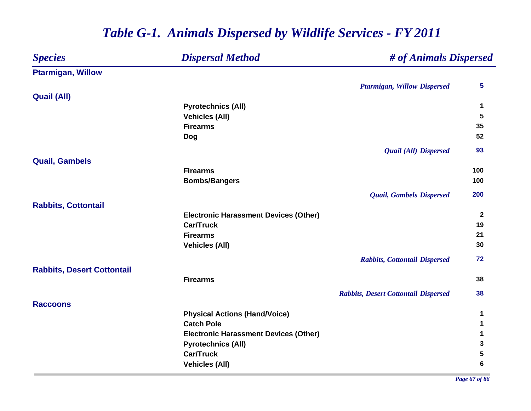| <b>Species</b>                    | <b>Dispersal Method</b>                      | # of Animals Dispersed                      |                |
|-----------------------------------|----------------------------------------------|---------------------------------------------|----------------|
| <b>Ptarmigan, Willow</b>          |                                              |                                             |                |
|                                   |                                              | <b>Ptarmigan, Willow Dispersed</b>          | 5              |
| <b>Quail (All)</b>                |                                              |                                             |                |
|                                   | <b>Pyrotechnics (All)</b>                    |                                             | 1              |
|                                   | <b>Vehicles (All)</b>                        |                                             | $5\phantom{1}$ |
|                                   | <b>Firearms</b>                              |                                             | 35             |
|                                   | <b>Dog</b>                                   |                                             | 52             |
|                                   |                                              | <b>Quail (All) Dispersed</b>                | 93             |
| <b>Quail, Gambels</b>             |                                              |                                             |                |
|                                   | <b>Firearms</b>                              |                                             | 100            |
|                                   | <b>Bombs/Bangers</b>                         |                                             | 100            |
|                                   |                                              | <b>Quail, Gambels Dispersed</b>             | 200            |
| <b>Rabbits, Cottontail</b>        |                                              |                                             |                |
|                                   | <b>Electronic Harassment Devices (Other)</b> |                                             | $\mathbf{2}$   |
|                                   | <b>Car/Truck</b>                             |                                             | 19             |
|                                   | <b>Firearms</b>                              |                                             | 21             |
|                                   | <b>Vehicles (All)</b>                        |                                             | 30             |
|                                   |                                              | <b>Rabbits, Cottontail Dispersed</b>        | 72             |
| <b>Rabbits, Desert Cottontail</b> |                                              |                                             |                |
|                                   | <b>Firearms</b>                              |                                             | 38             |
|                                   |                                              | <b>Rabbits, Desert Cottontail Dispersed</b> | 38             |
| <b>Raccoons</b>                   |                                              |                                             |                |
|                                   | <b>Physical Actions (Hand/Voice)</b>         |                                             | 1              |
|                                   | <b>Catch Pole</b>                            |                                             | 1              |
|                                   | <b>Electronic Harassment Devices (Other)</b> |                                             | 1              |
|                                   | <b>Pyrotechnics (All)</b>                    |                                             | 3              |
|                                   | <b>Car/Truck</b>                             |                                             | 5              |
|                                   | <b>Vehicles (All)</b>                        |                                             | 6              |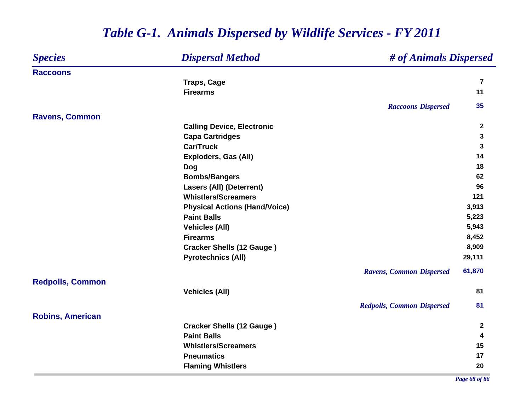#### *Species Dispersal Method # of Animals Dispersed* **RaccoonsTraps, Cage <sup>7</sup> Firearms 11** *Raccoons Dispersed* **35 Ravens, Common Calling Device, Electronic <sup>2</sup> Capa Cartridges <sup>3</sup> Car/Truck 3 Exploders, Gas (All) <sup>14</sup> Dog <sup>18</sup> Bombs/Bangers <sup>62</sup> Lasers (All) (Deterrent) 96 Whistlers/Screamers121 121 Physical Actions (Hand/Voice) 3,913 Paint Balls 5,223 Vehicles (All) 5,943 Firearms 8,452 Cracker Shells (12 Gauge )** 8,909 **Pyrotechnics (All) 29,111** *Ravens, Common Dispersed* **61,870 Redpolls, Common Vehicles (All) 81** *Redpolls, Common Dispersed* **81 Robins, American Cracker Shells (12 Gauge ) <sup>2</sup> Paint Balls 4 Whistlers/Screamers 15 Pneumatics 17 Flaming Whistlers <sup>20</sup>**

### *Table G-1. Animals Dispersed by Wildlife Services - FY 2011*

*Page 68 of 86*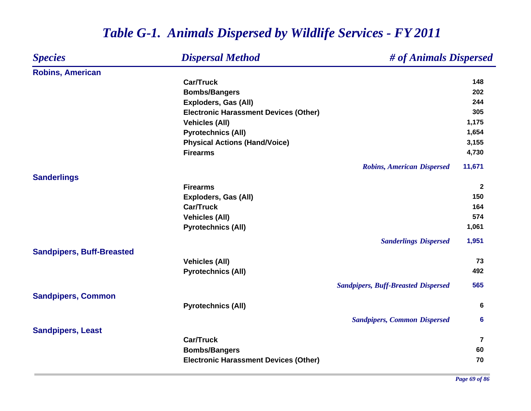| <b>Species</b>                   | <b>Dispersal Method</b>                      | # of Animals Dispersed                     |                |
|----------------------------------|----------------------------------------------|--------------------------------------------|----------------|
| <b>Robins, American</b>          |                                              |                                            |                |
|                                  | <b>Car/Truck</b>                             |                                            | 148            |
|                                  | <b>Bombs/Bangers</b>                         |                                            | 202            |
|                                  | <b>Exploders, Gas (All)</b>                  |                                            | 244            |
|                                  | <b>Electronic Harassment Devices (Other)</b> |                                            | 305            |
|                                  | <b>Vehicles (All)</b>                        |                                            | 1,175          |
|                                  | <b>Pyrotechnics (All)</b>                    |                                            | 1,654          |
|                                  | <b>Physical Actions (Hand/Voice)</b>         |                                            | 3,155          |
|                                  | <b>Firearms</b>                              |                                            | 4,730          |
|                                  |                                              | <b>Robins, American Dispersed</b>          | 11,671         |
| <b>Sanderlings</b>               |                                              |                                            |                |
|                                  | <b>Firearms</b>                              |                                            | $\mathbf{2}$   |
|                                  | <b>Exploders, Gas (All)</b>                  |                                            | 150            |
|                                  | <b>Car/Truck</b>                             |                                            | 164            |
|                                  | <b>Vehicles (All)</b>                        |                                            | 574            |
|                                  | <b>Pyrotechnics (All)</b>                    |                                            | 1,061          |
|                                  |                                              | <b>Sanderlings Dispersed</b>               | 1,951          |
| <b>Sandpipers, Buff-Breasted</b> |                                              |                                            |                |
|                                  | <b>Vehicles (All)</b>                        |                                            | 73             |
|                                  | <b>Pyrotechnics (All)</b>                    |                                            | 492            |
|                                  |                                              | <b>Sandpipers, Buff-Breasted Dispersed</b> | 565            |
| <b>Sandpipers, Common</b>        |                                              |                                            |                |
|                                  | <b>Pyrotechnics (All)</b>                    |                                            | 6              |
|                                  |                                              | <b>Sandpipers, Common Dispersed</b>        | 6              |
| <b>Sandpipers, Least</b>         |                                              |                                            |                |
|                                  | <b>Car/Truck</b>                             |                                            | $\overline{7}$ |
|                                  | <b>Bombs/Bangers</b>                         |                                            | 60             |
|                                  | <b>Electronic Harassment Devices (Other)</b> |                                            | 70             |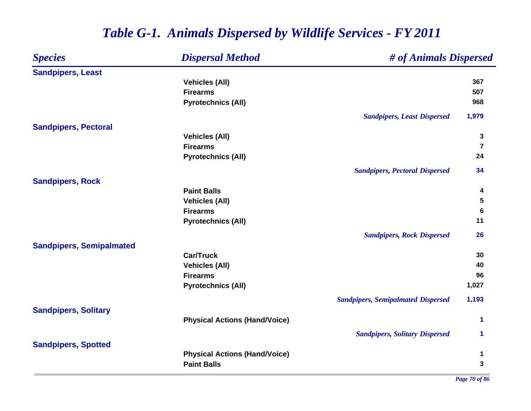| <b>Species</b>                  | <b>Dispersal Method</b>              | # of Animals Dispersed                    |                         |  |
|---------------------------------|--------------------------------------|-------------------------------------------|-------------------------|--|
| <b>Sandpipers, Least</b>        |                                      |                                           |                         |  |
|                                 | <b>Vehicles (All)</b>                |                                           | 367                     |  |
|                                 | <b>Firearms</b>                      |                                           | 507                     |  |
|                                 | <b>Pyrotechnics (All)</b>            |                                           | 968                     |  |
|                                 |                                      | <b>Sandpipers, Least Dispersed</b>        | 1,979                   |  |
| <b>Sandpipers, Pectoral</b>     |                                      |                                           |                         |  |
|                                 | <b>Vehicles (All)</b>                |                                           | 3                       |  |
|                                 | <b>Firearms</b>                      |                                           | $\overline{\mathbf{r}}$ |  |
|                                 | <b>Pyrotechnics (All)</b>            |                                           | 24                      |  |
|                                 |                                      | <b>Sandpipers, Pectoral Dispersed</b>     | 34                      |  |
| <b>Sandpipers, Rock</b>         |                                      |                                           |                         |  |
|                                 | <b>Paint Balls</b>                   |                                           | 4                       |  |
|                                 | <b>Vehicles (All)</b>                |                                           | 5                       |  |
|                                 | <b>Firearms</b>                      |                                           | $6\phantom{1}6$         |  |
|                                 | <b>Pyrotechnics (All)</b>            |                                           | 11                      |  |
|                                 |                                      | <b>Sandpipers, Rock Dispersed</b>         | 26                      |  |
| <b>Sandpipers, Semipalmated</b> |                                      |                                           |                         |  |
|                                 | <b>Car/Truck</b>                     |                                           | 30                      |  |
|                                 | <b>Vehicles (All)</b>                |                                           | 40                      |  |
|                                 | <b>Firearms</b>                      |                                           | 96                      |  |
|                                 | <b>Pyrotechnics (All)</b>            |                                           | 1,027                   |  |
|                                 |                                      | <b>Sandpipers, Semipalmated Dispersed</b> | 1,193                   |  |
| <b>Sandpipers, Solitary</b>     |                                      |                                           |                         |  |
|                                 | <b>Physical Actions (Hand/Voice)</b> |                                           | 1                       |  |
|                                 |                                      | <b>Sandpipers, Solitary Dispersed</b>     | 1                       |  |
| <b>Sandpipers, Spotted</b>      |                                      |                                           |                         |  |
|                                 | <b>Physical Actions (Hand/Voice)</b> |                                           | 1                       |  |
|                                 | <b>Paint Balls</b>                   |                                           | 3                       |  |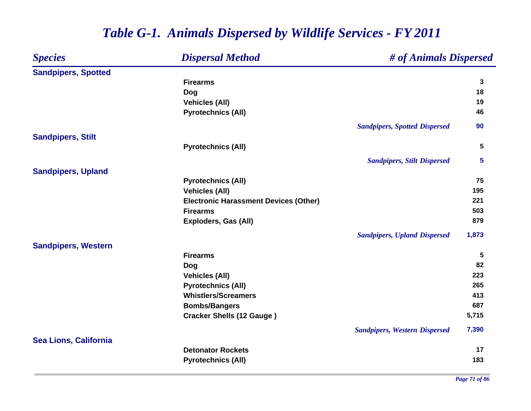| <b>Species</b>             | <b>Dispersal Method</b><br># of Animals Dispersed |                                      |              |  |
|----------------------------|---------------------------------------------------|--------------------------------------|--------------|--|
| <b>Sandpipers, Spotted</b> |                                                   |                                      |              |  |
|                            | <b>Firearms</b>                                   |                                      | $\mathbf{3}$ |  |
|                            | Dog                                               |                                      | 18           |  |
|                            | <b>Vehicles (All)</b>                             |                                      | 19           |  |
|                            | <b>Pyrotechnics (All)</b>                         |                                      | 46           |  |
|                            |                                                   | <b>Sandpipers, Spotted Dispersed</b> | 90           |  |
| <b>Sandpipers, Stilt</b>   |                                                   |                                      |              |  |
|                            | <b>Pyrotechnics (All)</b>                         |                                      | 5            |  |
|                            |                                                   | <b>Sandpipers, Stilt Dispersed</b>   | 5            |  |
| <b>Sandpipers, Upland</b>  |                                                   |                                      |              |  |
|                            | <b>Pyrotechnics (All)</b>                         |                                      | 75           |  |
|                            | <b>Vehicles (All)</b>                             |                                      | 195          |  |
|                            | <b>Electronic Harassment Devices (Other)</b>      |                                      | 221          |  |
|                            | <b>Firearms</b>                                   |                                      | 503          |  |
|                            | <b>Exploders, Gas (All)</b>                       |                                      | 879          |  |
|                            |                                                   | <b>Sandpipers, Upland Dispersed</b>  | 1,873        |  |
| <b>Sandpipers, Western</b> |                                                   |                                      |              |  |
|                            | <b>Firearms</b>                                   |                                      | $\sqrt{5}$   |  |
|                            | <b>Dog</b>                                        |                                      | 82           |  |
|                            | <b>Vehicles (All)</b>                             |                                      | 223          |  |
|                            | <b>Pyrotechnics (All)</b>                         |                                      | 265          |  |
|                            | <b>Whistlers/Screamers</b>                        |                                      | 413          |  |
|                            | <b>Bombs/Bangers</b>                              |                                      | 687          |  |
|                            | <b>Cracker Shells (12 Gauge)</b>                  |                                      | 5,715        |  |
|                            |                                                   | <b>Sandpipers, Western Dispersed</b> | 7,390        |  |
| Sea Lions, California      |                                                   |                                      |              |  |
|                            | <b>Detonator Rockets</b>                          |                                      | 17           |  |
|                            | <b>Pyrotechnics (All)</b>                         |                                      | 183          |  |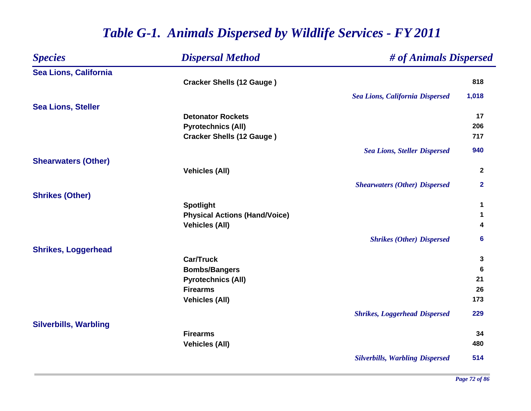| <b>Species</b>               | <b>Dispersal Method</b>              | # of Animals Dispersed                 |                |
|------------------------------|--------------------------------------|----------------------------------------|----------------|
| Sea Lions, California        |                                      |                                        |                |
|                              | <b>Cracker Shells (12 Gauge)</b>     |                                        | 818            |
|                              |                                      | <b>Sea Lions, California Dispersed</b> | 1,018          |
| <b>Sea Lions, Steller</b>    |                                      |                                        |                |
|                              | <b>Detonator Rockets</b>             |                                        | 17             |
|                              | <b>Pyrotechnics (All)</b>            |                                        | 206            |
|                              | <b>Cracker Shells (12 Gauge)</b>     |                                        | 717            |
|                              |                                      | <b>Sea Lions, Steller Dispersed</b>    | 940            |
| <b>Shearwaters (Other)</b>   |                                      |                                        |                |
|                              | <b>Vehicles (All)</b>                |                                        | $\overline{2}$ |
|                              |                                      | <b>Shearwaters (Other) Dispersed</b>   | $\mathbf{2}$   |
| <b>Shrikes (Other)</b>       |                                      |                                        |                |
|                              | <b>Spotlight</b>                     |                                        | 1              |
|                              | <b>Physical Actions (Hand/Voice)</b> |                                        | 1              |
|                              | <b>Vehicles (All)</b>                |                                        | 4              |
|                              |                                      | <b>Shrikes (Other) Dispersed</b>       | 6              |
| <b>Shrikes, Loggerhead</b>   |                                      |                                        |                |
|                              | <b>Car/Truck</b>                     |                                        | 3              |
|                              | <b>Bombs/Bangers</b>                 |                                        | 6              |
|                              | <b>Pyrotechnics (All)</b>            |                                        | 21             |
|                              | <b>Firearms</b>                      |                                        | 26             |
|                              | <b>Vehicles (All)</b>                |                                        | 173            |
|                              |                                      | <b>Shrikes, Loggerhead Dispersed</b>   | 229            |
| <b>Silverbills, Warbling</b> |                                      |                                        |                |
|                              | <b>Firearms</b>                      |                                        | 34             |
|                              | <b>Vehicles (All)</b>                |                                        | 480            |
|                              |                                      | <b>Silverbills, Warbling Dispersed</b> | 514            |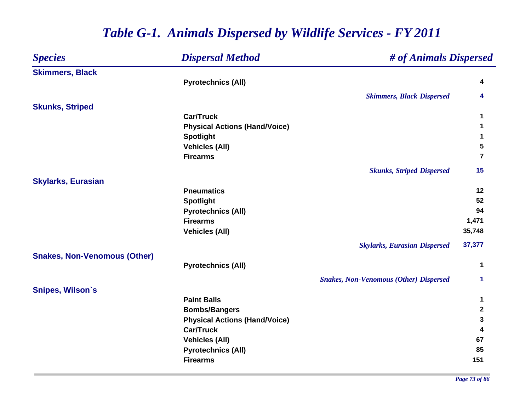| <b>Species</b>                      | <b>Dispersal Method</b>              | # of Animals Dispersed                        |             |
|-------------------------------------|--------------------------------------|-----------------------------------------------|-------------|
| <b>Skimmers, Black</b>              |                                      |                                               |             |
|                                     | <b>Pyrotechnics (All)</b>            |                                               | 4           |
|                                     |                                      | <b>Skimmers, Black Dispersed</b>              | 4           |
| <b>Skunks, Striped</b>              |                                      |                                               |             |
|                                     | <b>Car/Truck</b>                     |                                               | 1           |
|                                     | <b>Physical Actions (Hand/Voice)</b> |                                               | 1           |
|                                     | <b>Spotlight</b>                     |                                               | 1           |
|                                     | <b>Vehicles (All)</b>                |                                               | 5           |
|                                     | <b>Firearms</b>                      |                                               | 7           |
|                                     |                                      | <b>Skunks, Striped Dispersed</b>              | 15          |
| <b>Skylarks, Eurasian</b>           |                                      |                                               |             |
|                                     | <b>Pneumatics</b>                    |                                               | 12          |
|                                     | <b>Spotlight</b>                     |                                               | 52          |
|                                     | <b>Pyrotechnics (All)</b>            |                                               | 94          |
|                                     | <b>Firearms</b>                      |                                               | 1,471       |
|                                     | <b>Vehicles (All)</b>                |                                               | 35,748      |
|                                     |                                      | <b>Skylarks, Eurasian Dispersed</b>           | 37,377      |
| <b>Snakes, Non-Venomous (Other)</b> |                                      |                                               |             |
|                                     | <b>Pyrotechnics (All)</b>            |                                               | 1           |
|                                     |                                      | <b>Snakes, Non-Venomous (Other) Dispersed</b> | 1           |
| <b>Snipes, Wilson's</b>             |                                      |                                               |             |
|                                     | <b>Paint Balls</b>                   |                                               | 1           |
|                                     | <b>Bombs/Bangers</b>                 |                                               | $\mathbf 2$ |
|                                     | <b>Physical Actions (Hand/Voice)</b> |                                               | 3           |
|                                     | <b>Car/Truck</b>                     |                                               | 4           |
|                                     | <b>Vehicles (All)</b>                |                                               | 67          |
|                                     | <b>Pyrotechnics (All)</b>            |                                               | 85          |
|                                     | <b>Firearms</b>                      |                                               | 151         |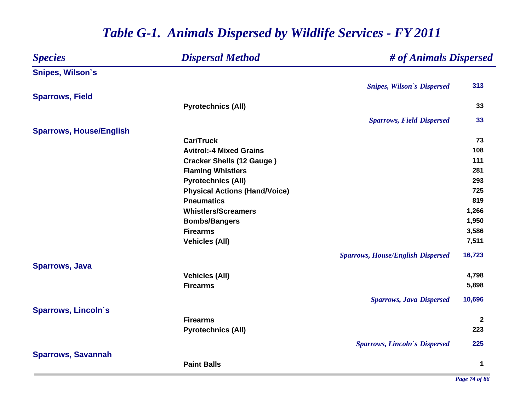### *Species Dispersal Method # of Animals Dispersed* **Snipes, Wilson`s** *Snipes, Wilson`s Dispersed* **313 Sparrows, Field Pyrotechnics (All) <sup>33</sup>** *Sparrows, Field Dispersed* **33 Sparrows, House/English Car/Truck 73 Avitrol:-4 Mixed Grains108 108 Cracker Shells (12 Gauge ) <sup>111</sup> Flaming Whistlers <sup>281</sup> Pyrotechnics (All) <sup>293</sup> Physical Actions (Hand/Voice) 725 Pneumatics 819 Whistlers/Screamers 1,266 Bombs/Bangers 1,950 Firearms 3,586 Vehicles (All) 7,511** *Sparrows, House/English Dispersed* **16,723 Sparrows, Java Vehicles (All) 4,798 Firearms 5,898** *Sparrows, Java Dispersed* **10,696 Sparrows, Lincoln`s Firearms 2 Pyrotechnics (All) <sup>223</sup>** *Sparrows, Lincoln`s Dispersed* **225 Sparrows, Savannah Paint Balls1**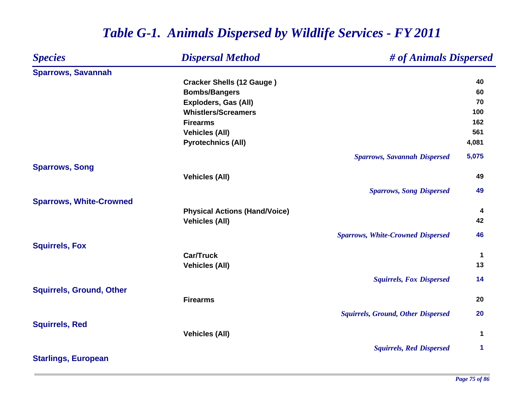| <b>Species</b>                  | <b>Dispersal Method</b>              | # of Animals Dispersed                    |       |
|---------------------------------|--------------------------------------|-------------------------------------------|-------|
| <b>Sparrows, Savannah</b>       |                                      |                                           |       |
|                                 | <b>Cracker Shells (12 Gauge)</b>     |                                           | 40    |
|                                 | <b>Bombs/Bangers</b>                 |                                           | 60    |
|                                 | <b>Exploders, Gas (All)</b>          |                                           | 70    |
|                                 | <b>Whistlers/Screamers</b>           |                                           | 100   |
|                                 | <b>Firearms</b>                      |                                           | 162   |
|                                 | <b>Vehicles (All)</b>                |                                           | 561   |
|                                 | <b>Pyrotechnics (All)</b>            |                                           | 4,081 |
|                                 |                                      | <b>Sparrows, Savannah Dispersed</b>       | 5,075 |
| <b>Sparrows, Song</b>           |                                      |                                           |       |
|                                 | <b>Vehicles (All)</b>                |                                           | 49    |
|                                 |                                      | <b>Sparrows, Song Dispersed</b>           | 49    |
| <b>Sparrows, White-Crowned</b>  |                                      |                                           |       |
|                                 | <b>Physical Actions (Hand/Voice)</b> |                                           | 4     |
|                                 | <b>Vehicles (All)</b>                |                                           | 42    |
|                                 |                                      | <b>Sparrows, White-Crowned Dispersed</b>  | 46    |
| <b>Squirrels, Fox</b>           |                                      |                                           |       |
|                                 | <b>Car/Truck</b>                     |                                           | 1     |
|                                 | <b>Vehicles (All)</b>                |                                           | 13    |
|                                 |                                      | <b>Squirrels, Fox Dispersed</b>           | 14    |
| <b>Squirrels, Ground, Other</b> |                                      |                                           |       |
|                                 | <b>Firearms</b>                      |                                           | 20    |
|                                 |                                      | <b>Squirrels, Ground, Other Dispersed</b> | 20    |
| <b>Squirrels, Red</b>           |                                      |                                           |       |
|                                 | <b>Vehicles (All)</b>                |                                           | 1     |
|                                 |                                      | <b>Squirrels, Red Dispersed</b>           | 1     |
| <b>Starlings, European</b>      |                                      |                                           |       |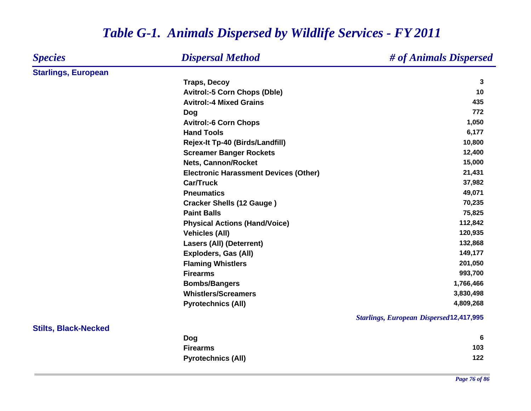#### *Species Dispersal Method # of Animals Dispersed* **Starlings, European Traps, Decoy <sup>3</sup> Avitrol:-5 Corn Chops (Dble) 10 Avitrol:-4 Mixed Grains 435 Dog <sup>772</sup> Avitrol:-6 Corn Chops 1,050 Hand Tools 6,177 Rejex-It Tp-40 (Birds/Landfill) 10,800 Screamer Banger Rockets 12,400 Nets, Cannon/Rocket 15,000 Electronic Harassment Devices (Other) 21,431 Car/Truck 37,982 Pneumatics 49,071 Cracker Shells (12 Gauge ) 70,235 Paint Balls 75,825 Physical Actions (Hand/Voice) 112,842 Vehicles (All) 120,935 Lasers (All) (Deterrent) 132,868 Exploders, Gas (All) 149,177 Flaming Whistlers 201,050 Firearms 993,700 Bombs/Bangers 1,766,466 Whistlers/Screamers 3,830,498 Pyrotechnics (All) 4,809,268** *Starlings, European Dispersed* **12,417,995 Stilts, Black-Necked Dog <sup>6</sup> Firearms103 103 Pyrotechnics (All) <sup>122</sup>**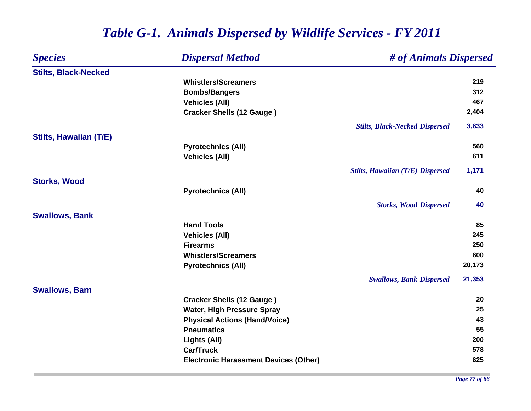| <b>Species</b>                | <b>Dispersal Method</b>                      | # of Animals Dispersed                  |        |
|-------------------------------|----------------------------------------------|-----------------------------------------|--------|
| <b>Stilts, Black-Necked</b>   |                                              |                                         |        |
|                               | <b>Whistlers/Screamers</b>                   |                                         | 219    |
|                               | <b>Bombs/Bangers</b>                         |                                         | 312    |
|                               | <b>Vehicles (All)</b>                        |                                         | 467    |
|                               | <b>Cracker Shells (12 Gauge)</b>             |                                         | 2,404  |
|                               |                                              | <b>Stilts, Black-Necked Dispersed</b>   | 3,633  |
| <b>Stilts, Hawaiian (T/E)</b> |                                              |                                         |        |
|                               | <b>Pyrotechnics (All)</b>                    |                                         | 560    |
|                               | <b>Vehicles (All)</b>                        |                                         | 611    |
|                               |                                              | <b>Stilts, Hawaiian (T/E) Dispersed</b> | 1,171  |
| <b>Storks, Wood</b>           |                                              |                                         |        |
|                               | <b>Pyrotechnics (All)</b>                    |                                         | 40     |
|                               |                                              | <b>Storks, Wood Dispersed</b>           | 40     |
| <b>Swallows, Bank</b>         |                                              |                                         |        |
|                               | <b>Hand Tools</b>                            |                                         | 85     |
|                               | <b>Vehicles (All)</b>                        |                                         | 245    |
|                               | <b>Firearms</b>                              |                                         | 250    |
|                               | <b>Whistlers/Screamers</b>                   |                                         | 600    |
|                               | <b>Pyrotechnics (All)</b>                    |                                         | 20,173 |
|                               |                                              | <b>Swallows, Bank Dispersed</b>         | 21,353 |
| <b>Swallows, Barn</b>         |                                              |                                         |        |
|                               | <b>Cracker Shells (12 Gauge)</b>             |                                         | 20     |
|                               | <b>Water, High Pressure Spray</b>            |                                         | 25     |
|                               | <b>Physical Actions (Hand/Voice)</b>         |                                         | 43     |
|                               | <b>Pneumatics</b>                            |                                         | 55     |
|                               | Lights (All)                                 |                                         | 200    |
|                               | <b>Car/Truck</b>                             |                                         | 578    |
|                               | <b>Electronic Harassment Devices (Other)</b> |                                         | 625    |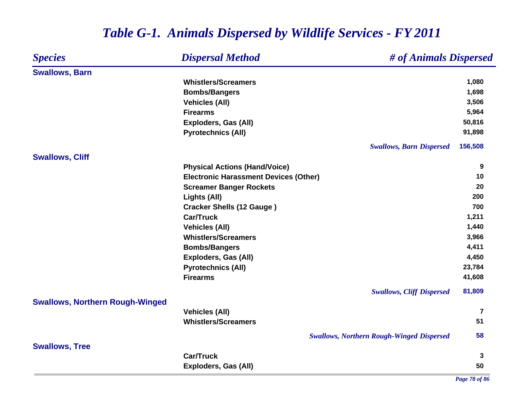### *Species Dispersal Method # of Animals Dispersed* **Swallows, Barn Whistlers/Screamers 1,080 Bombs/Bangers 1,698 Vehicles (All) 3,506 Firearms 5,964 Exploders, Gas (All) 50,816 Pyrotechnics (All) 91,898** *Swallows, Barn Dispersed* **156,508 Swallows, Cliff Physical Actions (Hand/Voice) <sup>9</sup> Electronic Harassment Devices (Other) 10 Screamer Banger Rockets <sup>20</sup> Lights (All) <sup>200</sup> Cracker Shells (12 Gauge ) <sup>700</sup> Car/Truck 1,211 Vehicles (All) 1,440 Whistlers/Screamers 3,966 Bombs/Bangers 4,411 Exploders, Gas (All) 4,450 Pyrotechnics (All) 23,784 Firearms 41,608** *Swallows, Cliff Dispersed* **81,809 Swallows, Northern Rough-Winged Vehicles (All) <sup>7</sup> Whistlers/Screamers5** 51 *Swallows, Northern Rough-Winged Dispersed* **58 Swallows, Tree Car/Truck 3 Exploders, Gas (All) 50**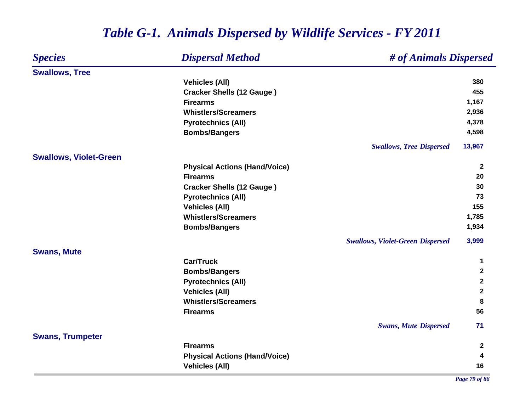#### *Species Dispersal Method # of Animals Dispersed* **Swallows, Tree Vehicles (All) 380 Cracker Shells (12 Gauge ) <sup>455</sup> Firearms 1,167 Whistlers/Screamers 2,936 Pyrotechnics (All) 4,378 Bombs/Bangers 4,598** *Swallows, Tree Dispersed* **13,967 Swallows, Violet-Green Physical Actions (Hand/Voice) <sup>2</sup> Firearms 20 Cracker Shells (12 Gauge ) <sup>30</sup> Pyrotechnics (All) <sup>73</sup> Vehicles (All) 155 Whistlers/Screamers 1,785 Bombs/Bangers 1,934** *Swallows, Violet-Green Dispersed* **3,999 Swans, Mute Car/Truck 1 Bombs/Bangers <sup>2</sup> Pyrotechnics (All) <sup>2</sup> Vehicles (All) <sup>2</sup> Whistlers/Screamers 8 Firearms 56** *Swans, Mute Dispersed* **71 Swans, Trumpeter Firearms 2 Physical Actions (Hand/Voice) <sup>4</sup> Vehicles (All) 16**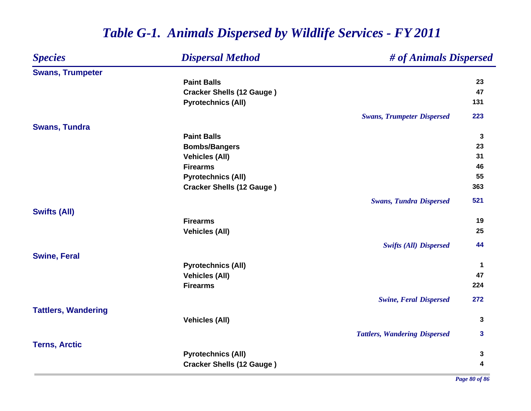| <b>Swans, Trumpeter</b>              | 23           |
|--------------------------------------|--------------|
|                                      |              |
| <b>Paint Balls</b>                   |              |
| <b>Cracker Shells (12 Gauge)</b>     | 47           |
| <b>Pyrotechnics (All)</b>            | 131          |
| <b>Swans, Trumpeter Dispersed</b>    | 223          |
| <b>Swans, Tundra</b>                 |              |
| <b>Paint Balls</b>                   | $\mathbf{3}$ |
| <b>Bombs/Bangers</b>                 | 23           |
| <b>Vehicles (All)</b>                | 31           |
| <b>Firearms</b>                      | 46           |
| <b>Pyrotechnics (All)</b>            | 55           |
| <b>Cracker Shells (12 Gauge)</b>     | 363          |
| <b>Swans, Tundra Dispersed</b>       | 521          |
| <b>Swifts (All)</b>                  |              |
| <b>Firearms</b>                      | 19           |
| <b>Vehicles (All)</b>                | 25           |
| <b>Swifts (All) Dispersed</b>        | 44           |
| <b>Swine, Feral</b>                  |              |
| <b>Pyrotechnics (All)</b>            | $\mathbf 1$  |
| <b>Vehicles (All)</b>                | 47           |
| <b>Firearms</b>                      | 224          |
| <b>Swine, Feral Dispersed</b>        | 272          |
| <b>Tattlers, Wandering</b>           |              |
| <b>Vehicles (All)</b>                | $\mathbf{3}$ |
| <b>Tattlers, Wandering Dispersed</b> | $\mathbf{3}$ |
| <b>Terns, Arctic</b>                 |              |
| <b>Pyrotechnics (All)</b>            | 3            |
| <b>Cracker Shells (12 Gauge)</b>     | 4            |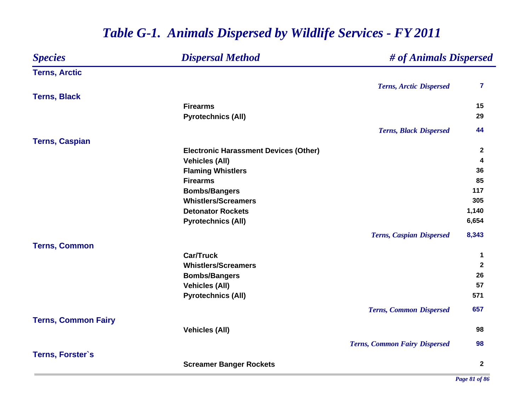### *Species Dispersal Method # of Animals Dispersed* **Terns, Arctic** *Terns, Arctic Dispersed* **7 Terns, Black Firearms 15 Pyrotechnics (All) <sup>29</sup>** *Terns, Black Dispersed* **44 Terns, Caspian Electronic Harassment Devices (Other) <sup>2</sup> Vehicles (All) <sup>4</sup> Flaming Whistlers <sup>36</sup> Firearms 85 Bombs/Bangers <sup>117</sup> Whistlers/Screamers 305 Detonator Rockets 1,140 Pyrotechnics (All) 6,654** *Terns, Caspian Dispersed* **8,343 Terns, Common Car/Truck 1 Whistlers/Screamers 2 Bombs/Bangers <sup>26</sup> Vehicles (All) 57 Pyrotechnics (All) 571** *Terns, Common Dispersed* **657 Terns, Common Fairy Vehicles (All) 98** *Terns, Common Fairy Dispersed* **98 Terns, Forster`s Screamer Banger Rockets <sup>2</sup>**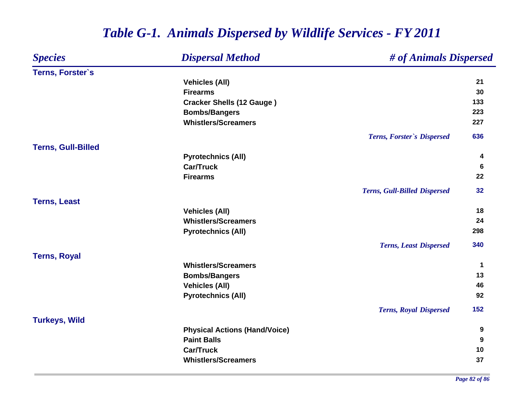#### *Species Dispersal Method # of Animals Dispersed* **Terns, Forster`s Vehicles (All) <sup>21</sup> Firearms5** 30 **Cracker Shells (12 Gauge ) <sup>133</sup> Bombs/Bangers <sup>223</sup> Whistlers/Screamers 227** *Terns, Forster`s Dispersed* **636 Terns, Gull-Billed Pyrotechnics (All) <sup>4</sup> Car/Truck 6 Firearms 22** *Terns, Gull-Billed Dispersed* **32 Terns, Least Vehicles (All) 18 Whistlers/Screamers 24 Pyrotechnics (All) <sup>298</sup>** *Terns, Least Dispersed* **340 Terns, Royal Whistlers/Screamers 1 Bombs/Bangers <sup>13</sup> Vehicles (All) 46 Pyrotechnics (All) <sup>92</sup>** *Terns, Royal Dispersed* **152 Turkeys, Wild Physical Actions (Hand/Voice) <sup>9</sup> Paint Balls 9 Car/Truck10 Whistlers/Screamers5** 37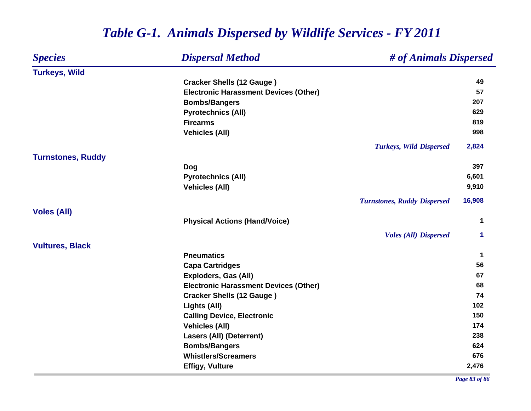| <b>Species</b>           | <b>Dispersal Method</b>                      | # of Animals Dispersed             |        |
|--------------------------|----------------------------------------------|------------------------------------|--------|
| <b>Turkeys, Wild</b>     |                                              |                                    |        |
|                          | <b>Cracker Shells (12 Gauge)</b>             |                                    | 49     |
|                          | <b>Electronic Harassment Devices (Other)</b> |                                    | 57     |
|                          | <b>Bombs/Bangers</b>                         |                                    | 207    |
|                          | <b>Pyrotechnics (All)</b>                    |                                    | 629    |
|                          | <b>Firearms</b>                              |                                    | 819    |
|                          | <b>Vehicles (All)</b>                        |                                    | 998    |
|                          |                                              | <b>Turkeys, Wild Dispersed</b>     | 2,824  |
| <b>Turnstones, Ruddy</b> |                                              |                                    |        |
|                          | Dog                                          |                                    | 397    |
|                          | <b>Pyrotechnics (All)</b>                    |                                    | 6,601  |
|                          | <b>Vehicles (All)</b>                        |                                    | 9,910  |
|                          |                                              | <b>Turnstones, Ruddy Dispersed</b> | 16,908 |
| <b>Voles (All)</b>       |                                              |                                    |        |
|                          | <b>Physical Actions (Hand/Voice)</b>         |                                    | 1      |
|                          |                                              | <b>Voles (All) Dispersed</b>       | 1      |
| <b>Vultures, Black</b>   |                                              |                                    |        |
|                          | <b>Pneumatics</b>                            |                                    | 1      |
|                          | <b>Capa Cartridges</b>                       |                                    | 56     |
|                          | Exploders, Gas (All)                         |                                    | 67     |
|                          | <b>Electronic Harassment Devices (Other)</b> |                                    | 68     |
|                          | <b>Cracker Shells (12 Gauge)</b>             |                                    | 74     |
|                          | Lights (All)                                 |                                    | 102    |
|                          | <b>Calling Device, Electronic</b>            |                                    | 150    |
|                          | <b>Vehicles (All)</b>                        |                                    | 174    |
|                          | <b>Lasers (All) (Deterrent)</b>              |                                    | 238    |
|                          | <b>Bombs/Bangers</b>                         |                                    | 624    |
|                          | <b>Whistlers/Screamers</b>                   |                                    | 676    |
|                          | <b>Effigy, Vulture</b>                       |                                    | 2,476  |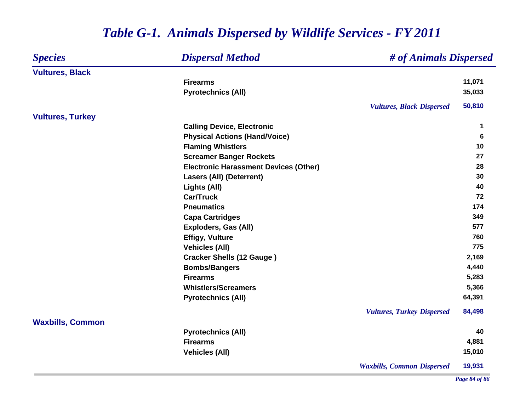| <b>Dispersal Method</b><br><b>Species</b> |                                              |                                   | # of Animals Dispersed |  |
|-------------------------------------------|----------------------------------------------|-----------------------------------|------------------------|--|
| <b>Vultures, Black</b>                    |                                              |                                   |                        |  |
|                                           | <b>Firearms</b>                              |                                   | 11,071                 |  |
|                                           | <b>Pyrotechnics (All)</b>                    |                                   | 35,033                 |  |
|                                           |                                              | <b>Vultures, Black Dispersed</b>  | 50,810                 |  |
| <b>Vultures, Turkey</b>                   |                                              |                                   |                        |  |
|                                           | <b>Calling Device, Electronic</b>            |                                   | 1                      |  |
|                                           | <b>Physical Actions (Hand/Voice)</b>         |                                   | 6                      |  |
|                                           | <b>Flaming Whistlers</b>                     |                                   | 10                     |  |
|                                           | <b>Screamer Banger Rockets</b>               |                                   | 27                     |  |
|                                           | <b>Electronic Harassment Devices (Other)</b> |                                   | 28                     |  |
|                                           | <b>Lasers (All) (Deterrent)</b>              |                                   | 30                     |  |
|                                           | Lights (All)                                 |                                   | 40                     |  |
|                                           | <b>Car/Truck</b>                             |                                   | 72                     |  |
|                                           | <b>Pneumatics</b>                            |                                   | 174                    |  |
|                                           | <b>Capa Cartridges</b>                       |                                   | 349                    |  |
|                                           | <b>Exploders, Gas (All)</b>                  |                                   | 577                    |  |
|                                           | <b>Effigy, Vulture</b>                       |                                   | 760                    |  |
|                                           | <b>Vehicles (All)</b>                        |                                   | 775                    |  |
|                                           | <b>Cracker Shells (12 Gauge)</b>             |                                   | 2,169                  |  |
|                                           | <b>Bombs/Bangers</b>                         |                                   | 4,440                  |  |
|                                           | <b>Firearms</b>                              |                                   | 5,283                  |  |
|                                           | <b>Whistlers/Screamers</b>                   |                                   | 5,366                  |  |
|                                           | <b>Pyrotechnics (All)</b>                    |                                   | 64,391                 |  |
|                                           |                                              | <b>Vultures, Turkey Dispersed</b> | 84,498                 |  |
| <b>Waxbills, Common</b>                   | <b>Pyrotechnics (All)</b>                    |                                   | 40                     |  |
|                                           | <b>Firearms</b>                              |                                   | 4,881                  |  |
|                                           |                                              |                                   | 15,010                 |  |
|                                           | <b>Vehicles (All)</b>                        |                                   |                        |  |
|                                           |                                              | <b>Waxbills, Common Dispersed</b> | 19,931                 |  |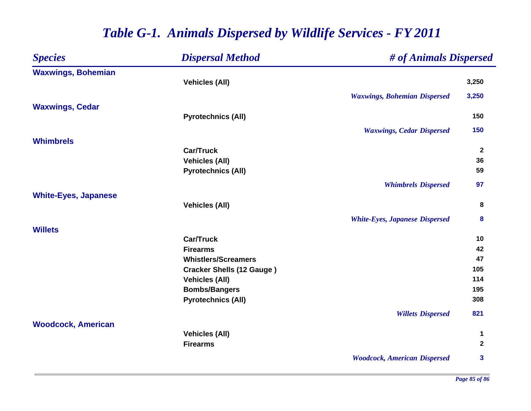| <b>Species</b>              | <b>Dispersal Method</b>                       | # of Animals Dispersed                |                |
|-----------------------------|-----------------------------------------------|---------------------------------------|----------------|
| <b>Waxwings, Bohemian</b>   |                                               |                                       |                |
|                             | <b>Vehicles (All)</b>                         |                                       | 3,250          |
|                             |                                               | <b>Waxwings, Bohemian Dispersed</b>   | 3,250          |
| <b>Waxwings, Cedar</b>      |                                               |                                       |                |
|                             | <b>Pyrotechnics (All)</b>                     |                                       | 150            |
|                             |                                               | <b>Waxwings, Cedar Dispersed</b>      | 150            |
| <b>Whimbrels</b>            |                                               |                                       |                |
|                             | <b>Car/Truck</b>                              |                                       | $\overline{2}$ |
|                             | <b>Vehicles (All)</b>                         |                                       | 36             |
|                             | <b>Pyrotechnics (All)</b>                     |                                       | 59             |
|                             |                                               | <b>Whimbrels Dispersed</b>            | 97             |
| <b>White-Eyes, Japanese</b> |                                               |                                       |                |
|                             | <b>Vehicles (All)</b>                         |                                       | 8              |
|                             |                                               | <b>White-Eyes, Japanese Dispersed</b> | 8              |
| <b>Willets</b>              |                                               |                                       |                |
|                             | <b>Car/Truck</b>                              |                                       | 10             |
|                             | <b>Firearms</b>                               |                                       | 42             |
|                             | <b>Whistlers/Screamers</b>                    |                                       | 47             |
|                             | <b>Cracker Shells (12 Gauge)</b>              |                                       | 105<br>114     |
|                             | <b>Vehicles (All)</b><br><b>Bombs/Bangers</b> |                                       | 195            |
|                             | <b>Pyrotechnics (All)</b>                     |                                       | 308            |
|                             |                                               |                                       |                |
|                             |                                               | <b>Willets Dispersed</b>              | 821            |
| <b>Woodcock, American</b>   | <b>Vehicles (All)</b>                         |                                       | 1              |
|                             | <b>Firearms</b>                               |                                       | $\overline{2}$ |
|                             |                                               |                                       |                |
|                             |                                               | <b>Woodcock, American Dispersed</b>   | $\mathbf{3}$   |